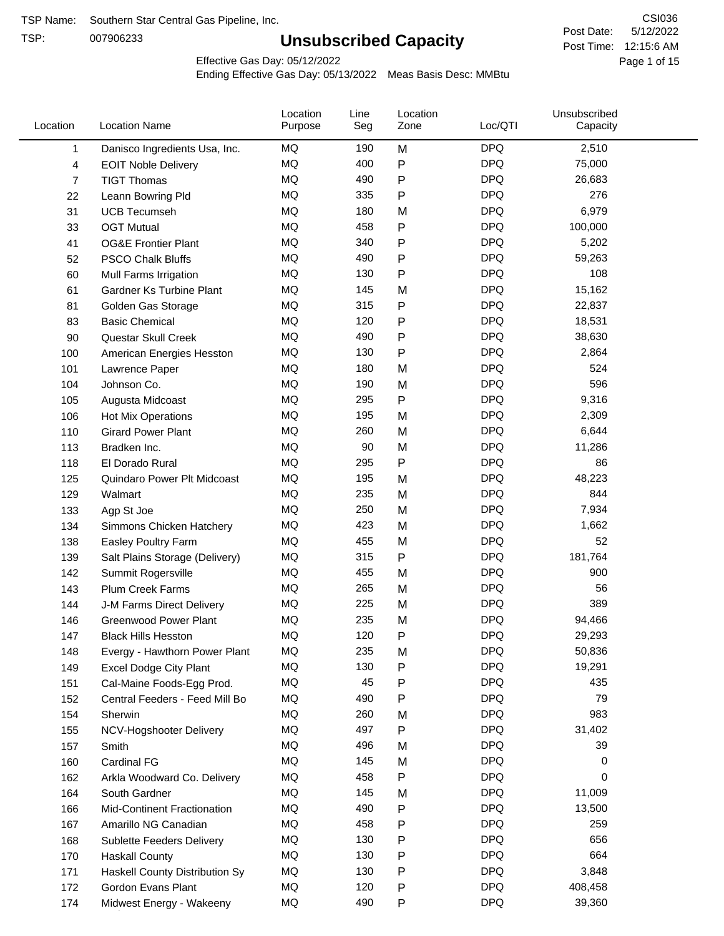TSP:

# **Unsubscribed Capacity**

5/12/2022 Page 1 of 15 Post Time: 12:15:6 AM CSI036 Post Date:

Effective Gas Day: 05/12/2022

| Location | <b>Location Name</b>            | Location<br>Purpose | Line<br>Seg | Location<br>Zone | Loc/QTI    | Unsubscribed<br>Capacity |  |
|----------|---------------------------------|---------------------|-------------|------------------|------------|--------------------------|--|
| 1        | Danisco Ingredients Usa, Inc.   | MQ                  | 190         | M                | <b>DPQ</b> | 2,510                    |  |
| 4        | <b>EOIT Noble Delivery</b>      | MQ                  | 400         | P                | <b>DPQ</b> | 75,000                   |  |
| 7        | <b>TIGT Thomas</b>              | MQ                  | 490         | P                | <b>DPQ</b> | 26,683                   |  |
| 22       | Leann Bowring Pld               | <b>MQ</b>           | 335         | Ρ                | <b>DPQ</b> | 276                      |  |
| 31       | <b>UCB Tecumseh</b>             | <b>MQ</b>           | 180         | M                | <b>DPQ</b> | 6,979                    |  |
| 33       | <b>OGT Mutual</b>               | <b>MQ</b>           | 458         | Ρ                | <b>DPQ</b> | 100,000                  |  |
| 41       | <b>OG&amp;E Frontier Plant</b>  | MQ                  | 340         | P                | <b>DPQ</b> | 5,202                    |  |
| 52       | <b>PSCO Chalk Bluffs</b>        | MQ                  | 490         | Ρ                | <b>DPQ</b> | 59,263                   |  |
| 60       | Mull Farms Irrigation           | <b>MQ</b>           | 130         | P                | <b>DPQ</b> | 108                      |  |
| 61       | <b>Gardner Ks Turbine Plant</b> | MQ                  | 145         | M                | <b>DPQ</b> | 15,162                   |  |
| 81       | Golden Gas Storage              | MQ                  | 315         | Ρ                | <b>DPQ</b> | 22,837                   |  |
| 83       | <b>Basic Chemical</b>           | MQ                  | 120         | Ρ                | <b>DPQ</b> | 18,531                   |  |
| 90       | Questar Skull Creek             | <b>MQ</b>           | 490         | Ρ                | <b>DPQ</b> | 38,630                   |  |
| 100      | American Energies Hesston       | <b>MQ</b>           | 130         | P                | <b>DPQ</b> | 2,864                    |  |
| 101      | Lawrence Paper                  | <b>MQ</b>           | 180         | M                | <b>DPQ</b> | 524                      |  |
| 104      | Johnson Co.                     | <b>MQ</b>           | 190         | M                | <b>DPQ</b> | 596                      |  |
| 105      | Augusta Midcoast                | MQ                  | 295         | P                | <b>DPQ</b> | 9,316                    |  |
| 106      | Hot Mix Operations              | MQ                  | 195         | M                | <b>DPQ</b> | 2,309                    |  |
| 110      | <b>Girard Power Plant</b>       | MQ                  | 260         | M                | <b>DPQ</b> | 6,644                    |  |
| 113      | Bradken Inc.                    | MQ                  | 90          | M                | <b>DPQ</b> | 11,286                   |  |
| 118      | El Dorado Rural                 | <b>MQ</b>           | 295         | P                | <b>DPQ</b> | 86                       |  |
| 125      | Quindaro Power Plt Midcoast     | <b>MQ</b>           | 195         | M                | <b>DPQ</b> | 48,223                   |  |
| 129      | Walmart                         | <b>MQ</b>           | 235         | M                | <b>DPQ</b> | 844                      |  |
| 133      | Agp St Joe                      | <b>MQ</b>           | 250         | M                | <b>DPQ</b> | 7,934                    |  |
| 134      | Simmons Chicken Hatchery        | MQ                  | 423         | M                | <b>DPQ</b> | 1,662                    |  |
| 138      | Easley Poultry Farm             | MQ                  | 455         | M                | <b>DPQ</b> | 52                       |  |
| 139      | Salt Plains Storage (Delivery)  | MQ                  | 315         | P                | <b>DPQ</b> | 181,764                  |  |
| 142      | Summit Rogersville              | <b>MQ</b>           | 455         | M                | <b>DPQ</b> | 900                      |  |
| 143      | Plum Creek Farms                | <b>MQ</b>           | 265         | M                | <b>DPQ</b> | 56                       |  |
| 144      | J-M Farms Direct Delivery       | MQ                  | 225         | M                | <b>DPQ</b> | 389                      |  |
| 146      | <b>Greenwood Power Plant</b>    | <b>MQ</b>           | 235         | M                | <b>DPQ</b> | 94,466                   |  |
| 147      | <b>Black Hills Hesston</b>      | MQ                  | 120         | Ρ                | <b>DPQ</b> | 29,293                   |  |
| 148      | Evergy - Hawthorn Power Plant   | MQ                  | 235         | M                | <b>DPQ</b> | 50,836                   |  |
| 149      | <b>Excel Dodge City Plant</b>   | MQ                  | 130         | Ρ                | <b>DPQ</b> | 19,291                   |  |
| 151      | Cal-Maine Foods-Egg Prod.       | MQ                  | 45          | Ρ                | <b>DPQ</b> | 435                      |  |
| 152      | Central Feeders - Feed Mill Bo  | <b>MQ</b>           | 490         | Ρ                | <b>DPQ</b> | 79                       |  |
| 154      | Sherwin                         | <b>MQ</b>           | 260         | M                | <b>DPQ</b> | 983                      |  |
| 155      | NCV-Hogshooter Delivery         | <b>MQ</b>           | 497         | Ρ                | <b>DPQ</b> | 31,402                   |  |
| 157      | Smith                           | MQ                  | 496         | M                | <b>DPQ</b> | 39                       |  |
| 160      | Cardinal FG                     | MQ                  | 145         | M                | <b>DPQ</b> | 0                        |  |
| 162      | Arkla Woodward Co. Delivery     | MQ                  | 458         | P                | <b>DPQ</b> | 0                        |  |
| 164      | South Gardner                   | MQ                  | 145         | M                | <b>DPQ</b> | 11,009                   |  |
| 166      | Mid-Continent Fractionation     | MQ                  | 490         | Ρ                | <b>DPQ</b> | 13,500                   |  |
| 167      | Amarillo NG Canadian            | MQ                  | 458         | Ρ                | <b>DPQ</b> | 259                      |  |
| 168      | Sublette Feeders Delivery       | MQ                  | 130         | Ρ                | <b>DPQ</b> | 656                      |  |
| 170      | <b>Haskall County</b>           | <b>MQ</b>           | 130         | Ρ                | <b>DPQ</b> | 664                      |  |
| 171      | Haskell County Distribution Sy  | MQ                  | 130         | Ρ                | <b>DPQ</b> | 3,848                    |  |
| 172      | Gordon Evans Plant              | MQ                  | 120         | Ρ                | <b>DPQ</b> | 408,458                  |  |
| 174      | Midwest Energy - Wakeeny        | MQ                  | 490         | P                | <b>DPQ</b> | 39,360                   |  |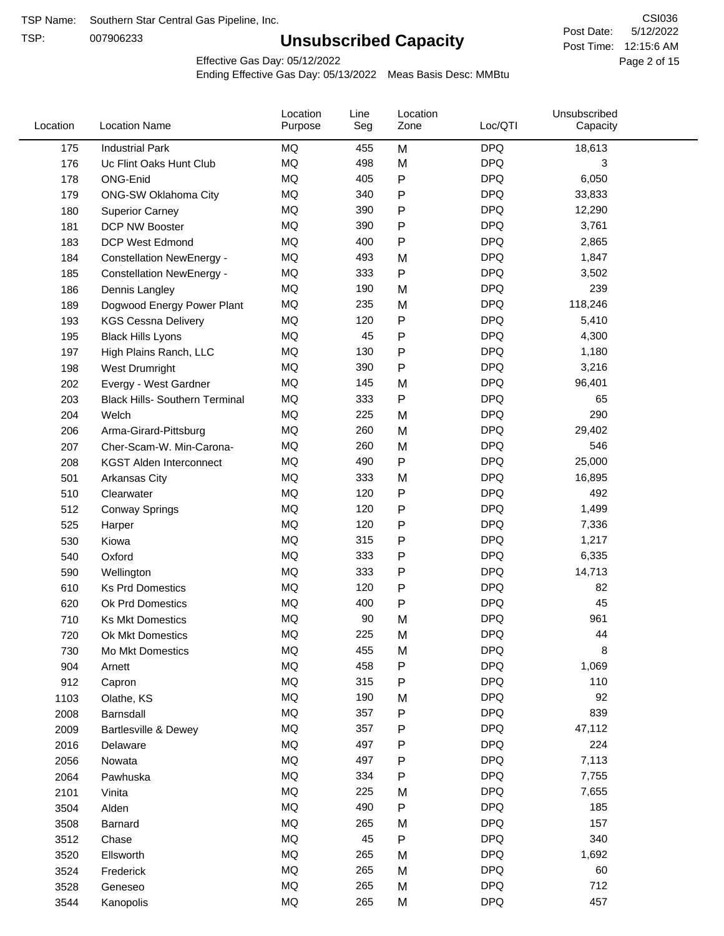TSP:

# **Unsubscribed Capacity**

5/12/2022 Page 2 of 15 Post Time: 12:15:6 AM CSI036 Post Date:

Effective Gas Day: 05/12/2022

| Location | <b>Location Name</b>                  | Location<br>Purpose | Line<br>Seg | Location<br>Zone | Loc/QTI    | Unsubscribed<br>Capacity |  |
|----------|---------------------------------------|---------------------|-------------|------------------|------------|--------------------------|--|
| 175      | <b>Industrial Park</b>                | <b>MQ</b>           | 455         | M                | <b>DPQ</b> | 18,613                   |  |
| 176      | Uc Flint Oaks Hunt Club               | MQ                  | 498         | M                | <b>DPQ</b> | 3                        |  |
| 178      | ONG-Enid                              | MQ                  | 405         | ${\sf P}$        | <b>DPQ</b> | 6,050                    |  |
| 179      | <b>ONG-SW Oklahoma City</b>           | MQ                  | 340         | Ρ                | <b>DPQ</b> | 33,833                   |  |
| 180      | <b>Superior Carney</b>                | MQ                  | 390         | $\mathsf{P}$     | <b>DPQ</b> | 12,290                   |  |
| 181      | <b>DCP NW Booster</b>                 | <b>MQ</b>           | 390         | ${\sf P}$        | <b>DPQ</b> | 3,761                    |  |
| 183      | <b>DCP West Edmond</b>                | <b>MQ</b>           | 400         | $\mathsf{P}$     | <b>DPQ</b> | 2,865                    |  |
| 184      | <b>Constellation NewEnergy -</b>      | MQ                  | 493         | M                | <b>DPQ</b> | 1,847                    |  |
| 185      | <b>Constellation NewEnergy -</b>      | MQ                  | 333         | $\mathsf{P}$     | <b>DPQ</b> | 3,502                    |  |
| 186      | Dennis Langley                        | MQ                  | 190         | M                | <b>DPQ</b> | 239                      |  |
| 189      | Dogwood Energy Power Plant            | MQ                  | 235         | M                | <b>DPQ</b> | 118,246                  |  |
| 193      | <b>KGS Cessna Delivery</b>            | MQ                  | 120         | ${\sf P}$        | <b>DPQ</b> | 5,410                    |  |
| 195      | <b>Black Hills Lyons</b>              | MQ                  | 45          | ${\sf P}$        | <b>DPQ</b> | 4,300                    |  |
| 197      | High Plains Ranch, LLC                | <b>MQ</b>           | 130         | $\mathsf{P}$     | <b>DPQ</b> | 1,180                    |  |
| 198      | West Drumright                        | <b>MQ</b>           | 390         | $\mathsf{P}$     | <b>DPQ</b> | 3,216                    |  |
| 202      | Evergy - West Gardner                 | <b>MQ</b>           | 145         | M                | <b>DPQ</b> | 96,401                   |  |
| 203      | <b>Black Hills- Southern Terminal</b> | MQ                  | 333         | ${\sf P}$        | <b>DPQ</b> | 65                       |  |
| 204      | Welch                                 | MQ                  | 225         | M                | <b>DPQ</b> | 290                      |  |
| 206      | Arma-Girard-Pittsburg                 | MQ                  | 260         | M                | <b>DPQ</b> | 29,402                   |  |
| 207      | Cher-Scam-W. Min-Carona-              | MQ                  | 260         | M                | <b>DPQ</b> | 546                      |  |
| 208      | <b>KGST Alden Interconnect</b>        | MQ                  | 490         | $\mathsf{P}$     | <b>DPQ</b> | 25,000                   |  |
| 501      | <b>Arkansas City</b>                  | MQ                  | 333         | M                | <b>DPQ</b> | 16,895                   |  |
| 510      | Clearwater                            | MQ                  | 120         | $\mathsf{P}$     | <b>DPQ</b> | 492                      |  |
| 512      | <b>Conway Springs</b>                 | MQ                  | 120         | ${\sf P}$        | <b>DPQ</b> | 1,499                    |  |
| 525      | Harper                                | <b>MQ</b>           | 120         | $\mathsf{P}$     | <b>DPQ</b> | 7,336                    |  |
| 530      | Kiowa                                 | MQ                  | 315         | $\mathsf{P}$     | <b>DPQ</b> | 1,217                    |  |
| 540      | Oxford                                | MQ                  | 333         | $\mathsf{P}$     | <b>DPQ</b> | 6,335                    |  |
| 590      | Wellington                            | <b>MQ</b>           | 333         | $\mathsf{P}$     | <b>DPQ</b> | 14,713                   |  |
| 610      | <b>Ks Prd Domestics</b>               | <b>MQ</b>           | 120         | $\mathsf{P}$     | <b>DPQ</b> | 82                       |  |
| 620      | Ok Prd Domestics                      | MQ                  | 400         | P                | <b>DPQ</b> | 45                       |  |
| 710      | <b>Ks Mkt Domestics</b>               | MQ                  | 90          | M                | <b>DPQ</b> | 961                      |  |
| 720      | Ok Mkt Domestics                      | MQ                  | 225         | M                | <b>DPQ</b> | 44                       |  |
| 730      | Mo Mkt Domestics                      | MQ                  | 455         | M                | <b>DPQ</b> | 8                        |  |
| 904      | Arnett                                | $\sf{MQ}$           | 458         | ${\sf P}$        | <b>DPQ</b> | 1,069                    |  |
| 912      | Capron                                | $\sf{MQ}$           | 315         | $\mathsf{P}$     | <b>DPQ</b> | 110                      |  |
| 1103     | Olathe, KS                            | $\sf{MQ}$           | 190         | M                | <b>DPQ</b> | 92                       |  |
| 2008     | Barnsdall                             | MQ                  | 357         | P                | <b>DPQ</b> | 839                      |  |
| 2009     | Bartlesville & Dewey                  | MQ                  | 357         | ${\sf P}$        | <b>DPQ</b> | 47,112                   |  |
| 2016     | Delaware                              | MQ                  | 497         | $\mathsf{P}$     | <b>DPQ</b> | 224                      |  |
| 2056     | Nowata                                | $\sf{MQ}$           | 497         | Ρ                | <b>DPQ</b> | 7,113                    |  |
| 2064     | Pawhuska                              | MQ                  | 334         | P                | <b>DPQ</b> | 7,755                    |  |
| 2101     | Vinita                                | MQ                  | 225         | M                | <b>DPQ</b> | 7,655                    |  |
| 3504     | Alden                                 | MQ                  | 490         | Ρ                | <b>DPQ</b> | 185                      |  |
| 3508     | Barnard                               | $\sf{MQ}$           | 265         | M                | <b>DPQ</b> | 157                      |  |
| 3512     | Chase                                 | MQ                  | 45          | Ρ                | <b>DPQ</b> | 340                      |  |
| 3520     | Ellsworth                             | MQ                  | 265         | M                | <b>DPQ</b> | 1,692                    |  |
| 3524     | Frederick                             | MQ                  | 265         | M                | <b>DPQ</b> | 60                       |  |
| 3528     | Geneseo                               | MQ                  | 265         | M                | <b>DPQ</b> | 712                      |  |
| 3544     | Kanopolis                             | $\sf{MQ}$           | 265         | M                | <b>DPQ</b> | 457                      |  |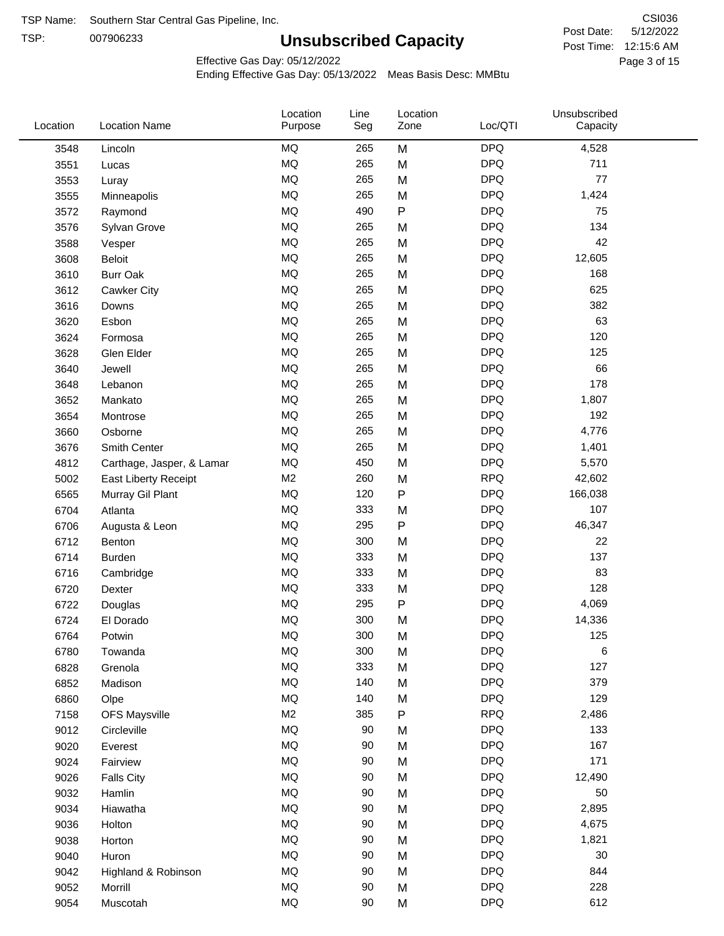TSP: 

# **Unsubscribed Capacity**

5/12/2022 Page 3 of 15 Post Time: 12:15:6 AM CSI036 Post Date:

Effective Gas Day: 05/12/2022

| Location | <b>Location Name</b>      | Location<br>Purpose | Line<br>Seg | Location<br>Zone | Loc/QTI    | Unsubscribed<br>Capacity |  |
|----------|---------------------------|---------------------|-------------|------------------|------------|--------------------------|--|
| 3548     | Lincoln                   | <b>MQ</b>           | 265         | M                | <b>DPQ</b> | 4,528                    |  |
| 3551     | Lucas                     | <b>MQ</b>           | 265         | M                | <b>DPQ</b> | 711                      |  |
| 3553     | Luray                     | <b>MQ</b>           | 265         | M                | <b>DPQ</b> | 77                       |  |
| 3555     | Minneapolis               | <b>MQ</b>           | 265         | M                | <b>DPQ</b> | 1,424                    |  |
| 3572     | Raymond                   | <b>MQ</b>           | 490         | $\sf P$          | <b>DPQ</b> | 75                       |  |
| 3576     | Sylvan Grove              | <b>MQ</b>           | 265         | M                | <b>DPQ</b> | 134                      |  |
| 3588     | Vesper                    | <b>MQ</b>           | 265         | M                | <b>DPQ</b> | 42                       |  |
| 3608     | <b>Beloit</b>             | <b>MQ</b>           | 265         | M                | <b>DPQ</b> | 12,605                   |  |
| 3610     | <b>Burr Oak</b>           | <b>MQ</b>           | 265         | M                | <b>DPQ</b> | 168                      |  |
| 3612     | <b>Cawker City</b>        | <b>MQ</b>           | 265         | M                | <b>DPQ</b> | 625                      |  |
| 3616     | Downs                     | <b>MQ</b>           | 265         | M                | <b>DPQ</b> | 382                      |  |
| 3620     | Esbon                     | <b>MQ</b>           | 265         | M                | <b>DPQ</b> | 63                       |  |
| 3624     | Formosa                   | <b>MQ</b>           | 265         | M                | <b>DPQ</b> | 120                      |  |
| 3628     | Glen Elder                | <b>MQ</b>           | 265         | M                | <b>DPQ</b> | 125                      |  |
| 3640     | Jewell                    | <b>MQ</b>           | 265         | M                | <b>DPQ</b> | 66                       |  |
| 3648     | Lebanon                   | <b>MQ</b>           | 265         | M                | <b>DPQ</b> | 178                      |  |
| 3652     | Mankato                   | <b>MQ</b>           | 265         | M                | <b>DPQ</b> | 1,807                    |  |
| 3654     | Montrose                  | <b>MQ</b>           | 265         | M                | <b>DPQ</b> | 192                      |  |
| 3660     | Osborne                   | <b>MQ</b>           | 265         | M                | <b>DPQ</b> | 4,776                    |  |
| 3676     | Smith Center              | <b>MQ</b>           | 265         | M                | <b>DPQ</b> | 1,401                    |  |
| 4812     | Carthage, Jasper, & Lamar | <b>MQ</b>           | 450         | M                | <b>DPQ</b> | 5,570                    |  |
| 5002     | East Liberty Receipt      | M <sub>2</sub>      | 260         | M                | <b>RPQ</b> | 42,602                   |  |
| 6565     | Murray Gil Plant          | <b>MQ</b>           | 120         | P                | <b>DPQ</b> | 166,038                  |  |
| 6704     | Atlanta                   | <b>MQ</b>           | 333         | M                | <b>DPQ</b> | 107                      |  |
| 6706     | Augusta & Leon            | <b>MQ</b>           | 295         | ${\sf P}$        | <b>DPQ</b> | 46,347                   |  |
| 6712     | Benton                    | <b>MQ</b>           | 300         | M                | <b>DPQ</b> | 22                       |  |
| 6714     | Burden                    | <b>MQ</b>           | 333         | M                | <b>DPQ</b> | 137                      |  |
| 6716     | Cambridge                 | <b>MQ</b>           | 333         | M                | <b>DPQ</b> | 83                       |  |
| 6720     | Dexter                    | <b>MQ</b>           | 333         | M                | <b>DPQ</b> | 128                      |  |
| 6722     | Douglas                   | <b>MQ</b>           | 295         | ${\sf P}$        | <b>DPQ</b> | 4,069                    |  |
| 6724     | El Dorado                 | <b>MQ</b>           | 300         | M                | <b>DPQ</b> | 14,336                   |  |
| 6764     | Potwin                    | <b>MQ</b>           | 300         | M                | <b>DPQ</b> | 125                      |  |
| 6780     | Towanda                   | MQ                  | 300         | M                | <b>DPQ</b> | 6                        |  |
| 6828     | Grenola                   | <b>MQ</b>           | 333         | M                | <b>DPQ</b> | 127                      |  |
| 6852     | Madison                   | <b>MQ</b>           | 140         | M                | <b>DPQ</b> | 379                      |  |
| 6860     | Olpe                      | <b>MQ</b>           | 140         | M                | <b>DPQ</b> | 129                      |  |
| 7158     | <b>OFS Maysville</b>      | M <sub>2</sub>      | 385         | ${\sf P}$        | <b>RPQ</b> | 2,486                    |  |
| 9012     | Circleville               | <b>MQ</b>           | 90          | M                | <b>DPQ</b> | 133                      |  |
| 9020     | Everest                   | <b>MQ</b>           | 90          | M                | <b>DPQ</b> | 167                      |  |
| 9024     | Fairview                  | <b>MQ</b>           | 90          | M                | <b>DPQ</b> | 171                      |  |
| 9026     | <b>Falls City</b>         | <b>MQ</b>           | 90          | M                | <b>DPQ</b> | 12,490                   |  |
| 9032     | Hamlin                    | <b>MQ</b>           | 90          | M                | <b>DPQ</b> | 50                       |  |
| 9034     | Hiawatha                  | <b>MQ</b>           | 90          | M                | <b>DPQ</b> | 2,895                    |  |
| 9036     | Holton                    | <b>MQ</b>           | 90          | M                | <b>DPQ</b> | 4,675                    |  |
| 9038     | Horton                    | <b>MQ</b>           | 90          | M                | <b>DPQ</b> | 1,821                    |  |
| 9040     | Huron                     | <b>MQ</b>           | 90          | M                | <b>DPQ</b> | 30                       |  |
| 9042     | Highland & Robinson       | <b>MQ</b>           | 90          | M                | <b>DPQ</b> | 844                      |  |
| 9052     | Morrill                   | <b>MQ</b>           | 90          | M                | <b>DPQ</b> | 228                      |  |
| 9054     | Muscotah                  | <b>MQ</b>           | 90          | M                | <b>DPQ</b> | 612                      |  |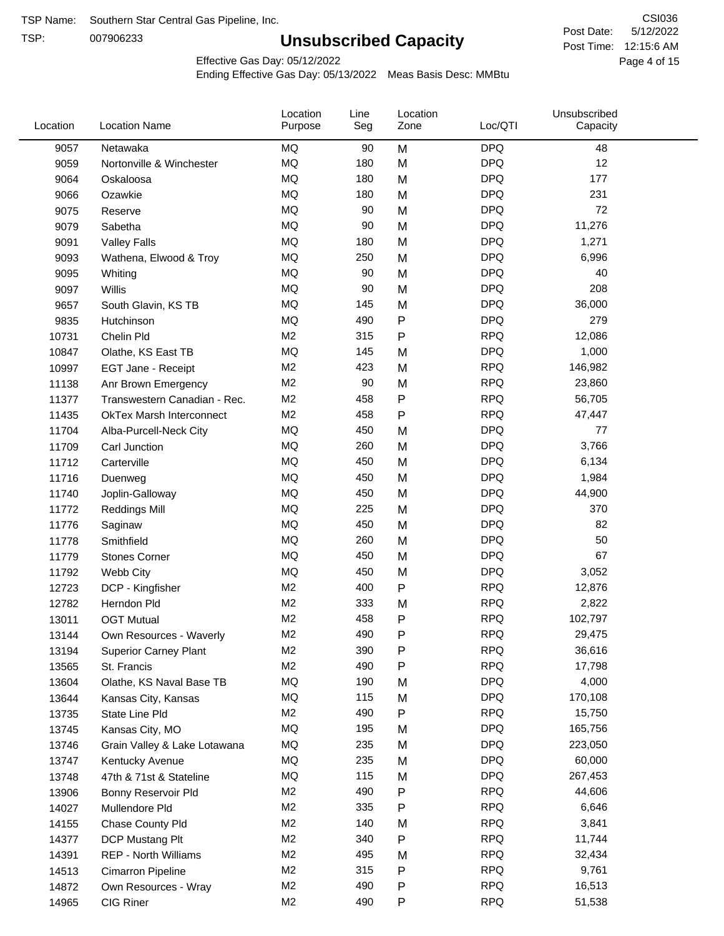TSP:

# **Unsubscribed Capacity**

5/12/2022 Page 4 of 15 Post Time: 12:15:6 AM CSI036 Post Date:

Effective Gas Day: 05/12/2022

| Location | <b>Location Name</b>            | Location<br>Purpose | Line<br>Seg | Location<br>Zone | Loc/QTI    | Unsubscribed<br>Capacity |  |
|----------|---------------------------------|---------------------|-------------|------------------|------------|--------------------------|--|
| 9057     | Netawaka                        | <b>MQ</b>           | 90          | M                | <b>DPQ</b> | 48                       |  |
| 9059     | Nortonville & Winchester        | MQ                  | 180         | M                | <b>DPQ</b> | 12                       |  |
| 9064     | Oskaloosa                       | MQ                  | 180         | M                | <b>DPQ</b> | 177                      |  |
| 9066     | Ozawkie                         | MQ                  | 180         | M                | <b>DPQ</b> | 231                      |  |
| 9075     | Reserve                         | <b>MQ</b>           | 90          | M                | <b>DPQ</b> | 72                       |  |
| 9079     | Sabetha                         | <b>MQ</b>           | 90          | M                | <b>DPQ</b> | 11,276                   |  |
| 9091     | <b>Valley Falls</b>             | <b>MQ</b>           | 180         | M                | <b>DPQ</b> | 1,271                    |  |
| 9093     | Wathena, Elwood & Troy          | <b>MQ</b>           | 250         | M                | <b>DPQ</b> | 6,996                    |  |
| 9095     | Whiting                         | MQ                  | 90          | M                | <b>DPQ</b> | 40                       |  |
| 9097     | Willis                          | <b>MQ</b>           | 90          | M                | <b>DPQ</b> | 208                      |  |
| 9657     | South Glavin, KS TB             | MQ                  | 145         | M                | <b>DPQ</b> | 36,000                   |  |
| 9835     | Hutchinson                      | MQ                  | 490         | P                | <b>DPQ</b> | 279                      |  |
| 10731    | Chelin Pld                      | M <sub>2</sub>      | 315         | P                | <b>RPQ</b> | 12,086                   |  |
| 10847    | Olathe, KS East TB              | <b>MQ</b>           | 145         | M                | <b>DPQ</b> | 1,000                    |  |
| 10997    | EGT Jane - Receipt              | M <sub>2</sub>      | 423         | M                | <b>RPQ</b> | 146,982                  |  |
| 11138    | Anr Brown Emergency             | M <sub>2</sub>      | 90          | M                | <b>RPQ</b> | 23,860                   |  |
| 11377    | Transwestern Canadian - Rec.    | M <sub>2</sub>      | 458         | P                | <b>RPQ</b> | 56,705                   |  |
| 11435    | <b>OkTex Marsh Interconnect</b> | M <sub>2</sub>      | 458         | P                | <b>RPQ</b> | 47,447                   |  |
| 11704    | Alba-Purcell-Neck City          | MQ                  | 450         | M                | <b>DPQ</b> | 77                       |  |
| 11709    | Carl Junction                   | <b>MQ</b>           | 260         | M                | <b>DPQ</b> | 3,766                    |  |
| 11712    | Carterville                     | MQ                  | 450         | M                | <b>DPQ</b> | 6,134                    |  |
| 11716    | Duenweg                         | MQ                  | 450         | M                | <b>DPQ</b> | 1,984                    |  |
| 11740    | Joplin-Galloway                 | <b>MQ</b>           | 450         | M                | <b>DPQ</b> | 44,900                   |  |
| 11772    | <b>Reddings Mill</b>            | <b>MQ</b>           | 225         | M                | <b>DPQ</b> | 370                      |  |
| 11776    | Saginaw                         | <b>MQ</b>           | 450         | M                | <b>DPQ</b> | 82                       |  |
| 11778    | Smithfield                      | MQ                  | 260         | M                | <b>DPQ</b> | 50                       |  |
| 11779    | <b>Stones Corner</b>            | MQ                  | 450         | M                | <b>DPQ</b> | 67                       |  |
| 11792    | Webb City                       | <b>MQ</b>           | 450         | M                | <b>DPQ</b> | 3,052                    |  |
| 12723    | DCP - Kingfisher                | M <sub>2</sub>      | 400         | P                | <b>RPQ</b> | 12,876                   |  |
| 12782    | Herndon Pld                     | M <sub>2</sub>      | 333         | M                | <b>RPQ</b> | 2,822                    |  |
| 13011    | <b>OGT Mutual</b>               | M <sub>2</sub>      | 458         | P                | <b>RPQ</b> | 102,797                  |  |
| 13144    | Own Resources - Waverly         | M <sub>2</sub>      | 490         | P                | <b>RPQ</b> | 29,475                   |  |
| 13194    | <b>Superior Carney Plant</b>    | M <sub>2</sub>      | 390         | P                | <b>RPQ</b> | 36,616                   |  |
| 13565    | St. Francis                     | M <sub>2</sub>      | 490         | Ρ                | <b>RPQ</b> | 17,798                   |  |
| 13604    | Olathe, KS Naval Base TB        | MQ                  | 190         | M                | <b>DPQ</b> | 4,000                    |  |
| 13644    | Kansas City, Kansas             | MQ                  | 115         | M                | <b>DPQ</b> | 170,108                  |  |
| 13735    | State Line Pld                  | M <sub>2</sub>      | 490         | P                | <b>RPQ</b> | 15,750                   |  |
| 13745    | Kansas City, MO                 | MQ                  | 195         | M                | <b>DPQ</b> | 165,756                  |  |
| 13746    | Grain Valley & Lake Lotawana    | MQ                  | 235         | M                | <b>DPQ</b> | 223,050                  |  |
| 13747    | Kentucky Avenue                 | MQ                  | 235         | M                | <b>DPQ</b> | 60,000                   |  |
| 13748    | 47th & 71st & Stateline         | MQ                  | 115         | M                | <b>DPQ</b> | 267,453                  |  |
| 13906    | Bonny Reservoir Pld             | M <sub>2</sub>      | 490         | Ρ                | <b>RPQ</b> | 44,606                   |  |
| 14027    | Mullendore Pld                  | M <sub>2</sub>      | 335         | Ρ                | <b>RPQ</b> | 6,646                    |  |
| 14155    | Chase County Pld                | M <sub>2</sub>      | 140         | M                | <b>RPQ</b> | 3,841                    |  |
| 14377    | DCP Mustang Plt                 | M <sub>2</sub>      | 340         | Ρ                | <b>RPQ</b> | 11,744                   |  |
| 14391    | <b>REP - North Williams</b>     | M <sub>2</sub>      | 495         | M                | <b>RPQ</b> | 32,434                   |  |
| 14513    | Cimarron Pipeline               | M <sub>2</sub>      | 315         | P                | <b>RPQ</b> | 9,761                    |  |
| 14872    | Own Resources - Wray            | M <sub>2</sub>      | 490         | P                | <b>RPQ</b> | 16,513                   |  |
| 14965    | CIG Riner                       | M <sub>2</sub>      | 490         | P                | <b>RPQ</b> | 51,538                   |  |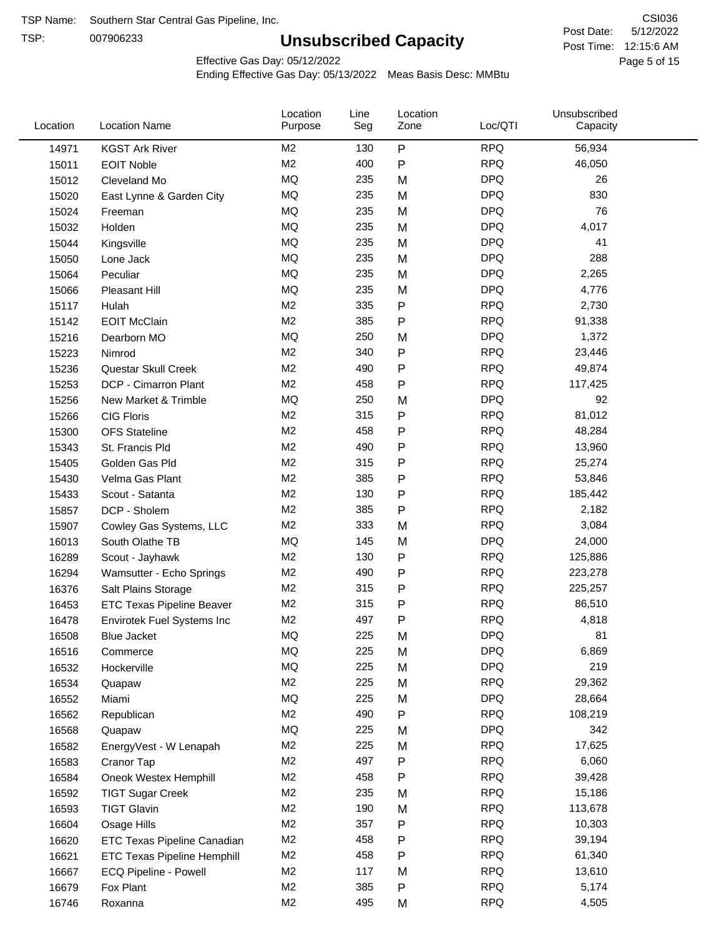TSP:

# **Unsubscribed Capacity**

5/12/2022 Page 5 of 15 Post Time: 12:15:6 AM CSI036 Post Date:

Effective Gas Day: 05/12/2022

| Location | <b>Location Name</b>               | Location<br>Purpose | Line<br>Seg | Location<br>Zone | Loc/QTI    | Unsubscribed<br>Capacity |  |
|----------|------------------------------------|---------------------|-------------|------------------|------------|--------------------------|--|
| 14971    | <b>KGST Ark River</b>              | M <sub>2</sub>      | 130         | P                | <b>RPQ</b> | 56,934                   |  |
| 15011    | <b>EOIT Noble</b>                  | M <sub>2</sub>      | 400         | P                | <b>RPQ</b> | 46,050                   |  |
| 15012    | Cleveland Mo                       | <b>MQ</b>           | 235         | M                | <b>DPQ</b> | 26                       |  |
| 15020    | East Lynne & Garden City           | <b>MQ</b>           | 235         | M                | <b>DPQ</b> | 830                      |  |
| 15024    | Freeman                            | <b>MQ</b>           | 235         | M                | <b>DPQ</b> | 76                       |  |
| 15032    | Holden                             | <b>MQ</b>           | 235         | M                | <b>DPQ</b> | 4,017                    |  |
| 15044    | Kingsville                         | <b>MQ</b>           | 235         | M                | <b>DPQ</b> | 41                       |  |
| 15050    | Lone Jack                          | <b>MQ</b>           | 235         | M                | <b>DPQ</b> | 288                      |  |
| 15064    | Peculiar                           | <b>MQ</b>           | 235         | M                | <b>DPQ</b> | 2,265                    |  |
| 15066    | Pleasant Hill                      | <b>MQ</b>           | 235         | M                | <b>DPQ</b> | 4,776                    |  |
| 15117    | Hulah                              | M <sub>2</sub>      | 335         | P                | <b>RPQ</b> | 2,730                    |  |
| 15142    | <b>EOIT McClain</b>                | M <sub>2</sub>      | 385         | P                | <b>RPQ</b> | 91,338                   |  |
| 15216    | Dearborn MO                        | MQ                  | 250         | M                | <b>DPQ</b> | 1,372                    |  |
| 15223    | Nimrod                             | M <sub>2</sub>      | 340         | P                | <b>RPQ</b> | 23,446                   |  |
| 15236    | Questar Skull Creek                | M <sub>2</sub>      | 490         | P                | <b>RPQ</b> | 49,874                   |  |
| 15253    | DCP - Cimarron Plant               | M <sub>2</sub>      | 458         | P                | <b>RPQ</b> | 117,425                  |  |
| 15256    | New Market & Trimble               | <b>MQ</b>           | 250         | M                | <b>DPQ</b> | 92                       |  |
| 15266    | <b>CIG Floris</b>                  | M <sub>2</sub>      | 315         | P                | <b>RPQ</b> | 81,012                   |  |
| 15300    | <b>OFS Stateline</b>               | M <sub>2</sub>      | 458         | P                | <b>RPQ</b> | 48,284                   |  |
| 15343    | St. Francis Pld                    | M <sub>2</sub>      | 490         | P                | <b>RPQ</b> | 13,960                   |  |
| 15405    | Golden Gas Pld                     | M <sub>2</sub>      | 315         | P                | <b>RPQ</b> | 25,274                   |  |
| 15430    | Velma Gas Plant                    | M <sub>2</sub>      | 385         | P                | <b>RPQ</b> | 53,846                   |  |
| 15433    | Scout - Satanta                    | M <sub>2</sub>      | 130         | P                | <b>RPQ</b> | 185,442                  |  |
| 15857    | DCP - Sholem                       | M <sub>2</sub>      | 385         | P                | <b>RPQ</b> | 2,182                    |  |
| 15907    | Cowley Gas Systems, LLC            | M <sub>2</sub>      | 333         | M                | <b>RPQ</b> | 3,084                    |  |
| 16013    | South Olathe TB                    | MQ                  | 145         | M                | <b>DPQ</b> | 24,000                   |  |
| 16289    | Scout - Jayhawk                    | M <sub>2</sub>      | 130         | P                | <b>RPQ</b> | 125,886                  |  |
| 16294    | Wamsutter - Echo Springs           | M <sub>2</sub>      | 490         | P                | <b>RPQ</b> | 223,278                  |  |
| 16376    | Salt Plains Storage                | M <sub>2</sub>      | 315         | P                | <b>RPQ</b> | 225,257                  |  |
| 16453    | <b>ETC Texas Pipeline Beaver</b>   | M <sub>2</sub>      | 315         | P                | <b>RPQ</b> | 86,510                   |  |
| 16478    | Envirotek Fuel Systems Inc         | M <sub>2</sub>      | 497         | P                | <b>RPQ</b> | 4,818                    |  |
| 16508    | Blue Jacket                        | <b>MQ</b>           | 225         | M                | <b>DPQ</b> | 81                       |  |
| 16516    | Commerce                           | MQ                  | 225         | M                | <b>DPQ</b> | 6,869                    |  |
| 16532    | Hockerville                        | <b>MQ</b>           | 225         | M                | <b>DPQ</b> | 219                      |  |
| 16534    | Quapaw                             | M <sub>2</sub>      | 225         | M                | <b>RPQ</b> | 29,362                   |  |
| 16552    | Miami                              | MQ                  | 225         | M                | <b>DPQ</b> | 28,664                   |  |
| 16562    | Republican                         | M <sub>2</sub>      | 490         | Ρ                | <b>RPQ</b> | 108,219                  |  |
| 16568    | Quapaw                             | MQ                  | 225         | M                | <b>DPQ</b> | 342                      |  |
| 16582    | EnergyVest - W Lenapah             | M <sub>2</sub>      | 225         | M                | <b>RPQ</b> | 17,625                   |  |
| 16583    | Cranor Tap                         | M <sub>2</sub>      | 497         | P                | <b>RPQ</b> | 6,060                    |  |
| 16584    | Oneok Westex Hemphill              | M <sub>2</sub>      | 458         | Ρ                | <b>RPQ</b> | 39,428                   |  |
| 16592    | <b>TIGT Sugar Creek</b>            | M <sub>2</sub>      | 235         | M                | <b>RPQ</b> | 15,186                   |  |
| 16593    | <b>TIGT Glavin</b>                 | M <sub>2</sub>      | 190         | M                | <b>RPQ</b> | 113,678                  |  |
| 16604    | Osage Hills                        | M <sub>2</sub>      | 357         | Ρ                | <b>RPQ</b> | 10,303                   |  |
| 16620    | <b>ETC Texas Pipeline Canadian</b> | M <sub>2</sub>      | 458         | P                | <b>RPQ</b> | 39,194                   |  |
| 16621    | <b>ETC Texas Pipeline Hemphill</b> | M <sub>2</sub>      | 458         | Ρ                | <b>RPQ</b> | 61,340                   |  |
| 16667    | ECQ Pipeline - Powell              | M <sub>2</sub>      | 117         | M                | <b>RPQ</b> | 13,610                   |  |
| 16679    | Fox Plant                          | M <sub>2</sub>      | 385         | Ρ                | <b>RPQ</b> | 5,174                    |  |
| 16746    | Roxanna                            | M <sub>2</sub>      | 495         | M                | <b>RPQ</b> | 4,505                    |  |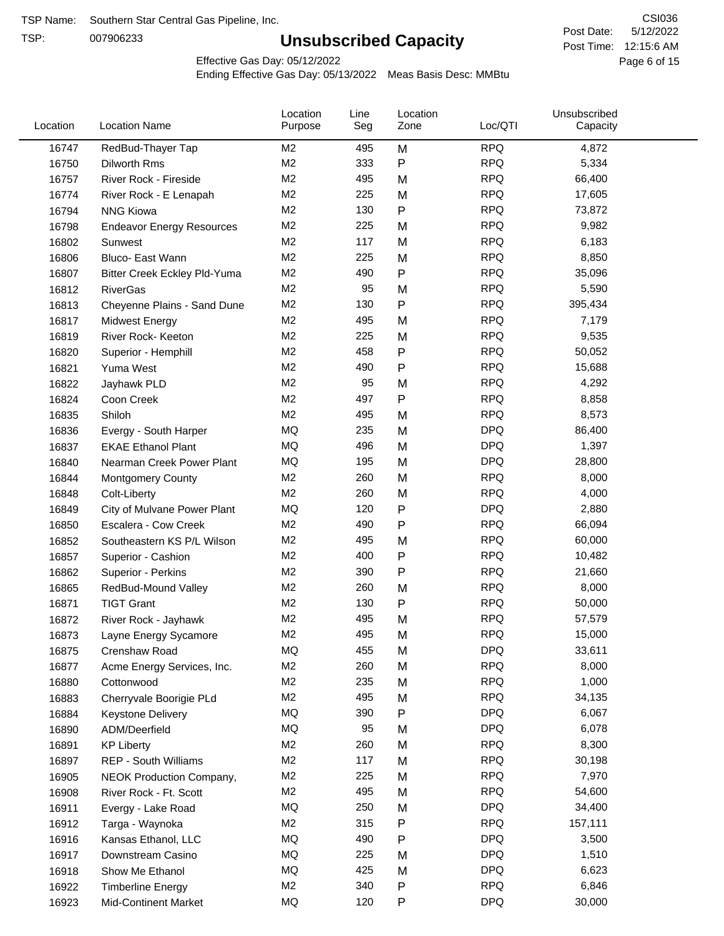TSP:

# **Unsubscribed Capacity**

5/12/2022 Page 6 of 15 Post Time: 12:15:6 AM CSI036 Post Date:

Unsubscribed

Effective Gas Day: 05/12/2022

Location

Ending Effective Gas Day: 05/13/2022 Meas Basis Desc: MMBtu

Line

Location

| Location | <b>Location Name</b>                | Purpose        | Seg | Zone | Loc/QTI    | Capacity |  |
|----------|-------------------------------------|----------------|-----|------|------------|----------|--|
| 16747    | RedBud-Thayer Tap                   | M2             | 495 | M    | <b>RPQ</b> | 4,872    |  |
| 16750    | Dilworth Rms                        | M <sub>2</sub> | 333 | P    | <b>RPQ</b> | 5,334    |  |
| 16757    | River Rock - Fireside               | M <sub>2</sub> | 495 | M    | <b>RPQ</b> | 66,400   |  |
| 16774    | River Rock - E Lenapah              | M <sub>2</sub> | 225 | M    | <b>RPQ</b> | 17,605   |  |
| 16794    | <b>NNG Kiowa</b>                    | M <sub>2</sub> | 130 | P    | <b>RPQ</b> | 73,872   |  |
| 16798    | <b>Endeavor Energy Resources</b>    | M <sub>2</sub> | 225 | M    | <b>RPQ</b> | 9,982    |  |
| 16802    | Sunwest                             | M <sub>2</sub> | 117 | M    | <b>RPQ</b> | 6,183    |  |
| 16806    | Bluco- East Wann                    | M <sub>2</sub> | 225 | M    | <b>RPQ</b> | 8,850    |  |
| 16807    | <b>Bitter Creek Eckley Pld-Yuma</b> | M2             | 490 | P    | <b>RPQ</b> | 35,096   |  |
| 16812    | <b>RiverGas</b>                     | M <sub>2</sub> | 95  | M    | <b>RPQ</b> | 5,590    |  |
| 16813    | Cheyenne Plains - Sand Dune         | M <sub>2</sub> | 130 | P    | <b>RPQ</b> | 395,434  |  |
| 16817    | <b>Midwest Energy</b>               | M <sub>2</sub> | 495 | M    | <b>RPQ</b> | 7,179    |  |
| 16819    | River Rock- Keeton                  | M <sub>2</sub> | 225 | M    | <b>RPQ</b> | 9,535    |  |
| 16820    | Superior - Hemphill                 | M <sub>2</sub> | 458 | P    | <b>RPQ</b> | 50,052   |  |
| 16821    | Yuma West                           | M <sub>2</sub> | 490 | P    | <b>RPQ</b> | 15,688   |  |
| 16822    | Jayhawk PLD                         | M2             | 95  | M    | <b>RPQ</b> | 4,292    |  |
| 16824    | Coon Creek                          | M2             | 497 | P    | <b>RPQ</b> | 8,858    |  |
| 16835    | Shiloh                              | M2             | 495 | M    | <b>RPQ</b> | 8,573    |  |
| 16836    | Evergy - South Harper               | MQ             | 235 | M    | <b>DPQ</b> | 86,400   |  |
| 16837    | <b>EKAE Ethanol Plant</b>           | MQ             | 496 | M    | <b>DPQ</b> | 1,397    |  |
| 16840    | Nearman Creek Power Plant           | MQ             | 195 | M    | <b>DPQ</b> | 28,800   |  |
| 16844    | <b>Montgomery County</b>            | M <sub>2</sub> | 260 | M    | <b>RPQ</b> | 8,000    |  |
| 16848    | Colt-Liberty                        | M <sub>2</sub> | 260 | M    | <b>RPQ</b> | 4,000    |  |
| 16849    | City of Mulvane Power Plant         | <b>MQ</b>      | 120 | P    | <b>DPQ</b> | 2,880    |  |
| 16850    | Escalera - Cow Creek                | M2             | 490 | Ρ    | <b>RPQ</b> | 66,094   |  |
| 16852    | Southeastern KS P/L Wilson          | M <sub>2</sub> | 495 | M    | <b>RPQ</b> | 60,000   |  |
| 16857    | Superior - Cashion                  | M2             | 400 | Ρ    | <b>RPQ</b> | 10,482   |  |
| 16862    | Superior - Perkins                  | M2             | 390 | P    | <b>RPQ</b> | 21,660   |  |
| 16865    | RedBud-Mound Valley                 | M <sub>2</sub> | 260 | M    | <b>RPQ</b> | 8,000    |  |
| 16871    | <b>TIGT Grant</b>                   | M <sub>2</sub> | 130 | Ρ    | <b>RPQ</b> | 50,000   |  |
| 16872    | River Rock - Jayhawk                | M <sub>2</sub> | 495 | M    | <b>RPQ</b> | 57,579   |  |
| 16873    | Layne Energy Sycamore               | M <sub>2</sub> | 495 | M    | <b>RPQ</b> | 15,000   |  |
| 16875    | Crenshaw Road                       | MQ             | 455 | M    | DPQ        | 33,611   |  |
| 16877    | Acme Energy Services, Inc.          | M2             | 260 | M    | <b>RPQ</b> | 8,000    |  |
| 16880    | Cottonwood                          | M <sub>2</sub> | 235 | M    | <b>RPQ</b> | 1,000    |  |
| 16883    | Cherryvale Boorigie PLd             | M <sub>2</sub> | 495 | M    | <b>RPQ</b> | 34,135   |  |
| 16884    | <b>Keystone Delivery</b>            | MQ             | 390 | P    | <b>DPQ</b> | 6,067    |  |
| 16890    | ADM/Deerfield                       | MQ             | 95  | M    | <b>DPQ</b> | 6,078    |  |
| 16891    | <b>KP Liberty</b>                   | M <sub>2</sub> | 260 | M    | <b>RPQ</b> | 8,300    |  |
| 16897    | REP - South Williams                | M <sub>2</sub> | 117 | M    | <b>RPQ</b> | 30,198   |  |
| 16905    | NEOK Production Company,            | M <sub>2</sub> | 225 | M    | <b>RPQ</b> | 7,970    |  |
| 16908    | River Rock - Ft. Scott              | M <sub>2</sub> | 495 | M    | <b>RPQ</b> | 54,600   |  |
| 16911    | Evergy - Lake Road                  | MQ             | 250 | M    | <b>DPQ</b> | 34,400   |  |
| 16912    | Targa - Waynoka                     | M <sub>2</sub> | 315 | P    | <b>RPQ</b> | 157,111  |  |
| 16916    | Kansas Ethanol, LLC                 | MQ             | 490 | Ρ    | <b>DPQ</b> | 3,500    |  |
| 16917    | Downstream Casino                   | MQ             | 225 | M    | <b>DPQ</b> | 1,510    |  |
| 16918    | Show Me Ethanol                     | MQ             | 425 | M    | <b>DPQ</b> | 6,623    |  |
| 16922    | <b>Timberline Energy</b>            | M <sub>2</sub> | 340 | P    | <b>RPQ</b> | 6,846    |  |
| 16923    | <b>Mid-Continent Market</b>         | MQ             | 120 | P    | <b>DPQ</b> | 30,000   |  |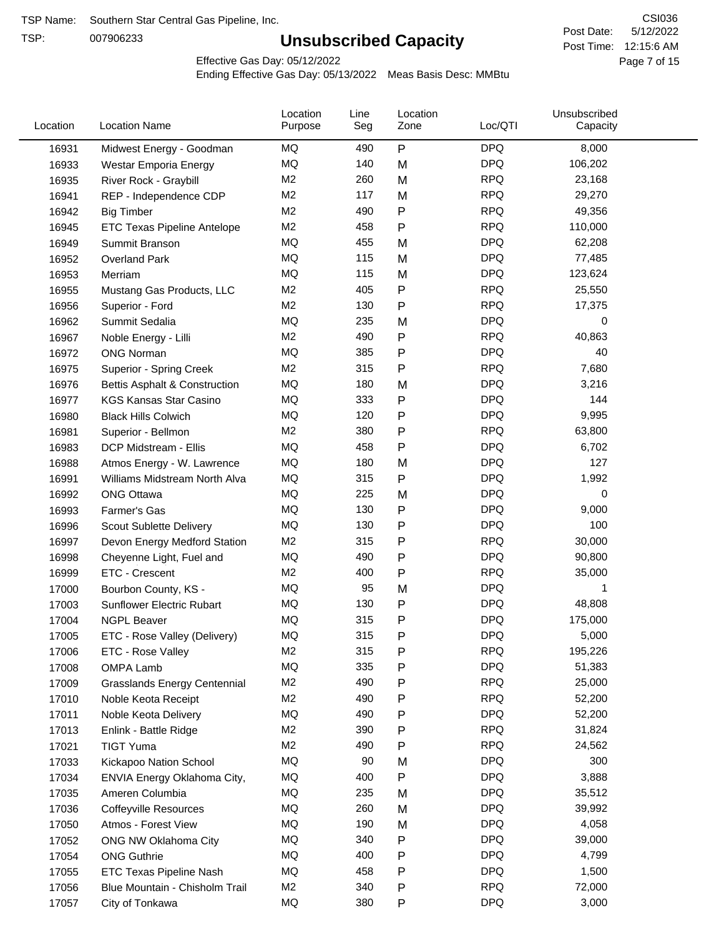TSP:

# **Unsubscribed Capacity**

5/12/2022 Page 7 of 15 Post Time: 12:15:6 AM CSI036 Post Date:

Effective Gas Day: 05/12/2022

| Location | <b>Location Name</b>                | Location<br>Purpose | Line<br>Seg | Location<br>Zone | Loc/QTI    | Unsubscribed<br>Capacity |  |
|----------|-------------------------------------|---------------------|-------------|------------------|------------|--------------------------|--|
| 16931    | Midwest Energy - Goodman            | MQ                  | 490         | $\mathsf{P}$     | <b>DPQ</b> | 8,000                    |  |
| 16933    | Westar Emporia Energy               | MQ                  | 140         | M                | <b>DPQ</b> | 106,202                  |  |
| 16935    | River Rock - Graybill               | M <sub>2</sub>      | 260         | M                | <b>RPQ</b> | 23,168                   |  |
| 16941    | REP - Independence CDP              | M <sub>2</sub>      | 117         | M                | <b>RPQ</b> | 29,270                   |  |
| 16942    | <b>Big Timber</b>                   | M <sub>2</sub>      | 490         | Ρ                | <b>RPQ</b> | 49,356                   |  |
| 16945    | ETC Texas Pipeline Antelope         | M <sub>2</sub>      | 458         | P                | <b>RPQ</b> | 110,000                  |  |
| 16949    | Summit Branson                      | MQ                  | 455         | M                | <b>DPQ</b> | 62,208                   |  |
| 16952    | <b>Overland Park</b>                | MQ                  | 115         | M                | <b>DPQ</b> | 77,485                   |  |
| 16953    | Merriam                             | MQ                  | 115         | M                | <b>DPQ</b> | 123,624                  |  |
| 16955    | Mustang Gas Products, LLC           | M <sub>2</sub>      | 405         | Ρ                | <b>RPQ</b> | 25,550                   |  |
| 16956    | Superior - Ford                     | M <sub>2</sub>      | 130         | Ρ                | <b>RPQ</b> | 17,375                   |  |
| 16962    | Summit Sedalia                      | MQ                  | 235         | M                | <b>DPQ</b> | 0                        |  |
| 16967    | Noble Energy - Lilli                | M <sub>2</sub>      | 490         | $\mathsf{P}$     | <b>RPQ</b> | 40,863                   |  |
| 16972    | <b>ONG Norman</b>                   | MQ                  | 385         | Ρ                | <b>DPQ</b> | 40                       |  |
| 16975    | <b>Superior - Spring Creek</b>      | M <sub>2</sub>      | 315         | $\mathsf{P}$     | <b>RPQ</b> | 7,680                    |  |
| 16976    | Bettis Asphalt & Construction       | MQ                  | 180         | M                | <b>DPQ</b> | 3,216                    |  |
| 16977    | <b>KGS Kansas Star Casino</b>       | MQ                  | 333         | P                | <b>DPQ</b> | 144                      |  |
| 16980    | <b>Black Hills Colwich</b>          | MQ                  | 120         | Ρ                | <b>DPQ</b> | 9,995                    |  |
| 16981    | Superior - Bellmon                  | M <sub>2</sub>      | 380         | $\mathsf{P}$     | <b>RPQ</b> | 63,800                   |  |
| 16983    | DCP Midstream - Ellis               | MQ                  | 458         | P                | <b>DPQ</b> | 6,702                    |  |
| 16988    | Atmos Energy - W. Lawrence          | MQ                  | 180         | M                | <b>DPQ</b> | 127                      |  |
| 16991    | Williams Midstream North Alva       | MQ                  | 315         | $\mathsf{P}$     | <b>DPQ</b> | 1,992                    |  |
| 16992    | <b>ONG Ottawa</b>                   | MQ                  | 225         | M                | <b>DPQ</b> | 0                        |  |
| 16993    | Farmer's Gas                        | MQ                  | 130         | $\mathsf{P}$     | <b>DPQ</b> | 9,000                    |  |
| 16996    | Scout Sublette Delivery             | MQ                  | 130         | Ρ                | <b>DPQ</b> | 100                      |  |
| 16997    | Devon Energy Medford Station        | M <sub>2</sub>      | 315         | Ρ                | <b>RPQ</b> | 30,000                   |  |
| 16998    | Cheyenne Light, Fuel and            | MQ                  | 490         | Ρ                | <b>DPQ</b> | 90,800                   |  |
| 16999    | ETC - Crescent                      | M <sub>2</sub>      | 400         | $\mathsf{P}$     | <b>RPQ</b> | 35,000                   |  |
| 17000    | Bourbon County, KS -                | MQ                  | 95          | M                | <b>DPQ</b> | 1                        |  |
| 17003    | Sunflower Electric Rubart           | MQ                  | 130         | Ρ                | <b>DPQ</b> | 48,808                   |  |
| 17004    | <b>NGPL Beaver</b>                  | MQ                  | 315         | Ρ                | <b>DPQ</b> | 175,000                  |  |
| 17005    | ETC - Rose Valley (Delivery)        | MQ                  | 315         | Ρ                | <b>DPQ</b> | 5,000                    |  |
| 17006    | ETC - Rose Valley                   | M <sub>2</sub>      | 315         | $\mathsf{P}$     | <b>RPQ</b> | 195,226                  |  |
| 17008    | OMPA Lamb                           | MQ                  | 335         | Ρ                | <b>DPQ</b> | 51,383                   |  |
| 17009    | <b>Grasslands Energy Centennial</b> | M <sub>2</sub>      | 490         | Ρ                | <b>RPQ</b> | 25,000                   |  |
| 17010    | Noble Keota Receipt                 | M <sub>2</sub>      | 490         | Ρ                | <b>RPQ</b> | 52,200                   |  |
| 17011    | Noble Keota Delivery                | MQ                  | 490         | Ρ                | <b>DPQ</b> | 52,200                   |  |
| 17013    | Enlink - Battle Ridge               | M <sub>2</sub>      | 390         | Ρ                | <b>RPQ</b> | 31,824                   |  |
| 17021    | <b>TIGT Yuma</b>                    | M <sub>2</sub>      | 490         | Ρ                | <b>RPQ</b> | 24,562                   |  |
| 17033    | Kickapoo Nation School              | MQ                  | 90          | M                | <b>DPQ</b> | 300                      |  |
| 17034    | ENVIA Energy Oklahoma City,         | MQ                  | 400         | P                | <b>DPQ</b> | 3,888                    |  |
| 17035    | Ameren Columbia                     | ΜQ                  | 235         | M                | <b>DPQ</b> | 35,512                   |  |
| 17036    | <b>Coffeyville Resources</b>        | MQ                  | 260         | M                | <b>DPQ</b> | 39,992                   |  |
| 17050    | Atmos - Forest View                 | MQ                  | 190         | M                | <b>DPQ</b> | 4,058                    |  |
| 17052    | ONG NW Oklahoma City                | MQ                  | 340         | P                | <b>DPQ</b> | 39,000                   |  |
| 17054    | <b>ONG Guthrie</b>                  | MQ                  | 400         | Ρ                | <b>DPQ</b> | 4,799                    |  |
| 17055    | ETC Texas Pipeline Nash             | MQ                  | 458         | Ρ                | <b>DPQ</b> | 1,500                    |  |
| 17056    | Blue Mountain - Chisholm Trail      | M <sub>2</sub>      | 340         | Ρ                | <b>RPQ</b> | 72,000                   |  |
| 17057    | City of Tonkawa                     | MQ                  | 380         | P                | <b>DPQ</b> | 3,000                    |  |
|          |                                     |                     |             |                  |            |                          |  |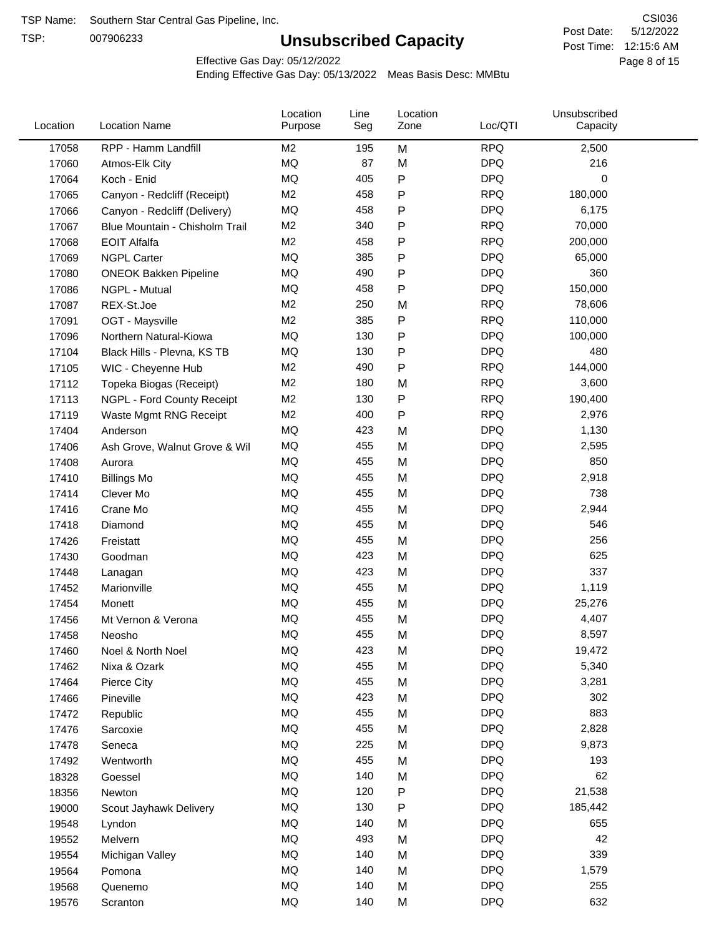TSP:

# **Unsubscribed Capacity**

5/12/2022 Page 8 of 15 Post Time: 12:15:6 AM CSI036 Post Date:

Effective Gas Day: 05/12/2022

| Location | <b>Location Name</b>           | Location<br>Purpose | Line<br>Seg | Location<br>Zone | Loc/QTI    | Unsubscribed<br>Capacity |  |
|----------|--------------------------------|---------------------|-------------|------------------|------------|--------------------------|--|
| 17058    | RPP - Hamm Landfill            | M <sub>2</sub>      | 195         | M                | <b>RPQ</b> | 2,500                    |  |
| 17060    | Atmos-Elk City                 | MQ                  | 87          | M                | <b>DPQ</b> | 216                      |  |
| 17064    | Koch - Enid                    | MQ                  | 405         | P                | <b>DPQ</b> | 0                        |  |
| 17065    | Canyon - Redcliff (Receipt)    | M <sub>2</sub>      | 458         | P                | <b>RPQ</b> | 180,000                  |  |
| 17066    | Canyon - Redcliff (Delivery)   | <b>MQ</b>           | 458         | P                | <b>DPQ</b> | 6,175                    |  |
| 17067    | Blue Mountain - Chisholm Trail | M <sub>2</sub>      | 340         | P                | <b>RPQ</b> | 70,000                   |  |
| 17068    | <b>EOIT Alfalfa</b>            | M <sub>2</sub>      | 458         | P                | <b>RPQ</b> | 200,000                  |  |
| 17069    | <b>NGPL Carter</b>             | MQ                  | 385         | P                | <b>DPQ</b> | 65,000                   |  |
| 17080    | <b>ONEOK Bakken Pipeline</b>   | MQ                  | 490         | P                | <b>DPQ</b> | 360                      |  |
| 17086    | NGPL - Mutual                  | <b>MQ</b>           | 458         | P                | <b>DPQ</b> | 150,000                  |  |
| 17087    | REX-St.Joe                     | M <sub>2</sub>      | 250         | M                | <b>RPQ</b> | 78,606                   |  |
| 17091    | OGT - Maysville                | M <sub>2</sub>      | 385         | P                | <b>RPQ</b> | 110,000                  |  |
| 17096    | Northern Natural-Kiowa         | <b>MQ</b>           | 130         | P                | <b>DPQ</b> | 100,000                  |  |
| 17104    | Black Hills - Plevna, KS TB    | MQ                  | 130         | Ρ                | <b>DPQ</b> | 480                      |  |
| 17105    | WIC - Cheyenne Hub             | M <sub>2</sub>      | 490         | P                | <b>RPQ</b> | 144,000                  |  |
| 17112    | Topeka Biogas (Receipt)        | M <sub>2</sub>      | 180         | M                | <b>RPQ</b> | 3,600                    |  |
| 17113    | NGPL - Ford County Receipt     | M <sub>2</sub>      | 130         | P                | <b>RPQ</b> | 190,400                  |  |
| 17119    | Waste Mgmt RNG Receipt         | M <sub>2</sub>      | 400         | ${\sf P}$        | <b>RPQ</b> | 2,976                    |  |
| 17404    | Anderson                       | MQ                  | 423         | M                | <b>DPQ</b> | 1,130                    |  |
| 17406    | Ash Grove, Walnut Grove & Wil  | MQ                  | 455         | M                | <b>DPQ</b> | 2,595                    |  |
| 17408    | Aurora                         | MQ                  | 455         | M                | <b>DPQ</b> | 850                      |  |
| 17410    | <b>Billings Mo</b>             | MQ                  | 455         | M                | <b>DPQ</b> | 2,918                    |  |
| 17414    | Clever Mo                      | MQ                  | 455         | M                | <b>DPQ</b> | 738                      |  |
| 17416    | Crane Mo                       | <b>MQ</b>           | 455         | M                | <b>DPQ</b> | 2,944                    |  |
| 17418    | Diamond                        | MQ                  | 455         | M                | <b>DPQ</b> | 546                      |  |
| 17426    | Freistatt                      | MQ                  | 455         | M                | <b>DPQ</b> | 256                      |  |
| 17430    | Goodman                        | MQ                  | 423         | M                | <b>DPQ</b> | 625                      |  |
| 17448    | Lanagan                        | MQ                  | 423         | M                | <b>DPQ</b> | 337                      |  |
| 17452    | Marionville                    | MQ                  | 455         | M                | <b>DPQ</b> | 1,119                    |  |
| 17454    | Monett                         | MQ                  | 455         | M                | <b>DPQ</b> | 25,276                   |  |
| 17456    | Mt Vernon & Verona             | <b>MQ</b>           | 455         | M                | <b>DPQ</b> | 4,407                    |  |
| 17458    | Neosho                         | MQ                  | 455         | M                | <b>DPQ</b> | 8,597                    |  |
| 17460    | Noel & North Noel              | MQ                  | 423         | M                | <b>DPQ</b> | 19,472                   |  |
| 17462    | Nixa & Ozark                   | $\sf{MQ}$           | 455         | M                | <b>DPQ</b> | 5,340                    |  |
| 17464    | Pierce City                    | MQ                  | 455         | M                | <b>DPQ</b> | 3,281                    |  |
| 17466    | Pineville                      | MQ                  | 423         | M                | <b>DPQ</b> | 302                      |  |
| 17472    | Republic                       | MQ                  | 455         | M                | <b>DPQ</b> | 883                      |  |
| 17476    | Sarcoxie                       | MQ                  | 455         | M                | <b>DPQ</b> | 2,828                    |  |
| 17478    | Seneca                         | MQ                  | 225         | M                | <b>DPQ</b> | 9,873                    |  |
| 17492    | Wentworth                      | MQ                  | 455         | M                | <b>DPQ</b> | 193                      |  |
| 18328    | Goessel                        | MQ                  | 140         | M                | <b>DPQ</b> | 62                       |  |
| 18356    | Newton                         | MQ                  | 120         | P                | <b>DPQ</b> | 21,538                   |  |
| 19000    | Scout Jayhawk Delivery         | MQ                  | 130         | Ρ                | <b>DPQ</b> | 185,442                  |  |
| 19548    | Lyndon                         | MQ                  | 140         | M                | <b>DPQ</b> | 655                      |  |
| 19552    | Melvern                        | MQ                  | 493         | M                | <b>DPQ</b> | 42                       |  |
| 19554    | Michigan Valley                | MQ                  | 140         | M                | <b>DPQ</b> | 339                      |  |
| 19564    | Pomona                         | MQ                  | 140         | M                | <b>DPQ</b> | 1,579                    |  |
| 19568    | Quenemo                        | MQ                  | 140         | M                | <b>DPQ</b> | 255                      |  |
| 19576    | Scranton                       | $\sf{MQ}$           | 140         | M                | <b>DPQ</b> | 632                      |  |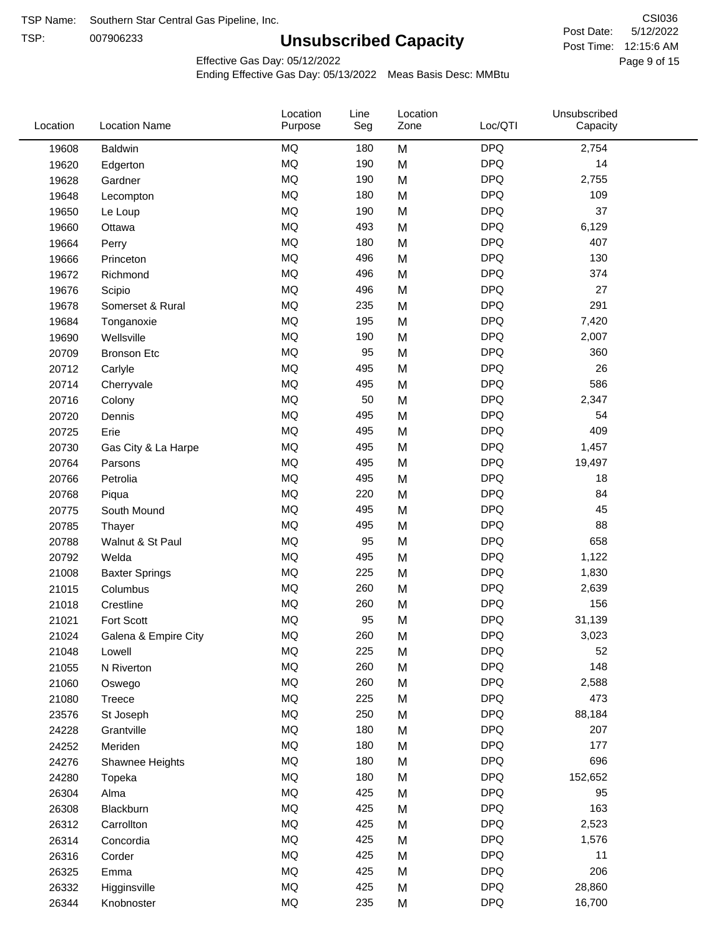TSP:

# **Unsubscribed Capacity**

5/12/2022 Page 9 of 15 Post Time: 12:15:6 AM CSI036 Post Date:

Effective Gas Day: 05/12/2022

| Location | <b>Location Name</b>  | Location<br>Purpose | Line<br>Seg | Location<br>Zone | Loc/QTI    | Unsubscribed<br>Capacity |  |
|----------|-----------------------|---------------------|-------------|------------------|------------|--------------------------|--|
| 19608    | Baldwin               | MQ                  | 180         | M                | <b>DPQ</b> | 2,754                    |  |
| 19620    | Edgerton              | MQ                  | 190         | M                | <b>DPQ</b> | 14                       |  |
| 19628    | Gardner               | MQ                  | 190         | M                | <b>DPQ</b> | 2,755                    |  |
| 19648    | Lecompton             | MQ                  | 180         | M                | <b>DPQ</b> | 109                      |  |
| 19650    | Le Loup               | MQ                  | 190         | M                | <b>DPQ</b> | 37                       |  |
| 19660    | Ottawa                | MQ                  | 493         | M                | <b>DPQ</b> | 6,129                    |  |
| 19664    | Perry                 | MQ                  | 180         | M                | <b>DPQ</b> | 407                      |  |
| 19666    | Princeton             | MQ                  | 496         | M                | <b>DPQ</b> | 130                      |  |
| 19672    | Richmond              | MQ                  | 496         | M                | <b>DPQ</b> | 374                      |  |
| 19676    | Scipio                | <b>MQ</b>           | 496         | M                | <b>DPQ</b> | 27                       |  |
| 19678    | Somerset & Rural      | MQ                  | 235         | M                | <b>DPQ</b> | 291                      |  |
| 19684    | Tonganoxie            | MQ                  | 195         | M                | <b>DPQ</b> | 7,420                    |  |
| 19690    | Wellsville            | MQ                  | 190         | M                | <b>DPQ</b> | 2,007                    |  |
| 20709    | <b>Bronson Etc</b>    | MQ                  | 95          | M                | <b>DPQ</b> | 360                      |  |
| 20712    | Carlyle               | MQ                  | 495         | M                | <b>DPQ</b> | 26                       |  |
| 20714    | Cherryvale            | MQ                  | 495         | M                | <b>DPQ</b> | 586                      |  |
| 20716    | Colony                | MQ                  | 50          | M                | <b>DPQ</b> | 2,347                    |  |
| 20720    | Dennis                | MQ                  | 495         | M                | <b>DPQ</b> | 54                       |  |
| 20725    | Erie                  | MQ                  | 495         | M                | <b>DPQ</b> | 409                      |  |
| 20730    | Gas City & La Harpe   | MQ                  | 495         | M                | <b>DPQ</b> | 1,457                    |  |
| 20764    | Parsons               | MQ                  | 495         | M                | <b>DPQ</b> | 19,497                   |  |
| 20766    | Petrolia              | MQ                  | 495         | M                | <b>DPQ</b> | 18                       |  |
| 20768    | Piqua                 | MQ                  | 220         | M                | <b>DPQ</b> | 84                       |  |
| 20775    | South Mound           | <b>MQ</b>           | 495         | M                | <b>DPQ</b> | 45                       |  |
| 20785    | Thayer                | MQ                  | 495         | M                | <b>DPQ</b> | 88                       |  |
| 20788    | Walnut & St Paul      | MQ                  | 95          | M                | <b>DPQ</b> | 658                      |  |
| 20792    | Welda                 | MQ                  | 495         | M                | <b>DPQ</b> | 1,122                    |  |
| 21008    | <b>Baxter Springs</b> | MQ                  | 225         | M                | <b>DPQ</b> | 1,830                    |  |
| 21015    | Columbus              | MQ                  | 260         | M                | <b>DPQ</b> | 2,639                    |  |
| 21018    | Crestline             | MQ                  | 260         | M                | <b>DPQ</b> | 156                      |  |
| 21021    | Fort Scott            | <b>MQ</b>           | 95          | M                | <b>DPQ</b> | 31,139                   |  |
| 21024    | Galena & Empire City  | <b>MQ</b>           | 260         | M                | <b>DPQ</b> | 3,023                    |  |
| 21048    | Lowell                | MQ                  | 225         | M                | <b>DPQ</b> | 52                       |  |
| 21055    | N Riverton            | MQ                  | 260         | M                | <b>DPQ</b> | 148                      |  |
| 21060    | Oswego                | MQ                  | 260         | M                | <b>DPQ</b> | 2,588                    |  |
| 21080    | <b>Treece</b>         | MQ                  | 225         | M                | <b>DPQ</b> | 473                      |  |
| 23576    | St Joseph             | MQ                  | 250         | M                | <b>DPQ</b> | 88,184                   |  |
| 24228    | Grantville            | MQ                  | 180         | M                | <b>DPQ</b> | 207                      |  |
| 24252    | Meriden               | $\sf{MQ}$           | 180         | M                | <b>DPQ</b> | 177                      |  |
| 24276    | Shawnee Heights       | MQ                  | 180         | M                | <b>DPQ</b> | 696                      |  |
| 24280    | Topeka                | MQ                  | 180         | M                | <b>DPQ</b> | 152,652                  |  |
| 26304    | Alma                  | MQ                  | 425         | M                | <b>DPQ</b> | 95                       |  |
| 26308    | Blackburn             | MQ                  | 425         | M                | <b>DPQ</b> | 163                      |  |
| 26312    | Carrollton            | MQ                  | 425         | M                | <b>DPQ</b> | 2,523                    |  |
| 26314    | Concordia             | MQ                  | 425         | M                | <b>DPQ</b> | 1,576                    |  |
| 26316    | Corder                | MQ                  | 425         | M                | <b>DPQ</b> | 11                       |  |
| 26325    | Emma                  | MQ                  | 425         | M                | <b>DPQ</b> | 206                      |  |
| 26332    | Higginsville          | $\sf{MQ}$           | 425         | M                | <b>DPQ</b> | 28,860                   |  |
| 26344    | Knobnoster            | $\sf{MQ}$           | 235         | M                | <b>DPQ</b> | 16,700                   |  |
|          |                       |                     |             |                  |            |                          |  |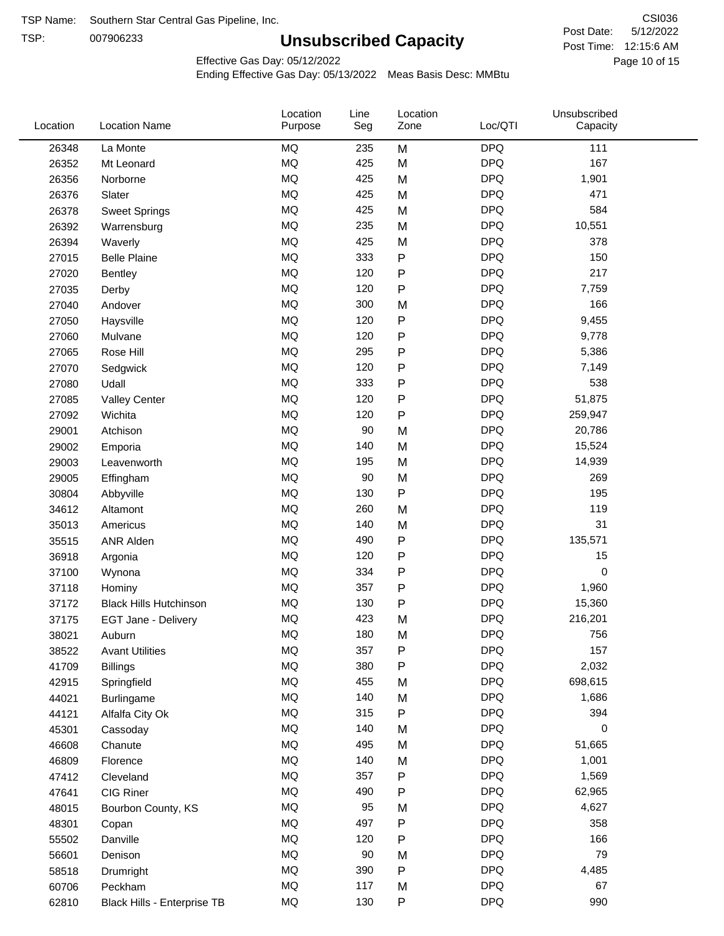TSP:

# **Unsubscribed Capacity**

5/12/2022 Page 10 of 15 Post Time: 12:15:6 AM CSI036 Post Date:

Effective Gas Day: 05/12/2022

| Location | <b>Location Name</b>          | Location<br>Purpose | Line<br>Seg | Location<br>Zone | Loc/QTI    | Unsubscribed<br>Capacity |  |
|----------|-------------------------------|---------------------|-------------|------------------|------------|--------------------------|--|
| 26348    | La Monte                      | <b>MQ</b>           | 235         | M                | <b>DPQ</b> | 111                      |  |
| 26352    | Mt Leonard                    | MQ                  | 425         | M                | <b>DPQ</b> | 167                      |  |
| 26356    | Norborne                      | <b>MQ</b>           | 425         | M                | <b>DPQ</b> | 1,901                    |  |
| 26376    | Slater                        | MQ                  | 425         | M                | <b>DPQ</b> | 471                      |  |
| 26378    | <b>Sweet Springs</b>          | MQ                  | 425         | M                | <b>DPQ</b> | 584                      |  |
| 26392    | Warrensburg                   | <b>MQ</b>           | 235         | M                | <b>DPQ</b> | 10,551                   |  |
| 26394    | Waverly                       | <b>MQ</b>           | 425         | M                | <b>DPQ</b> | 378                      |  |
| 27015    | <b>Belle Plaine</b>           | <b>MQ</b>           | 333         | ${\sf P}$        | <b>DPQ</b> | 150                      |  |
| 27020    | Bentley                       | MQ                  | 120         | P                | <b>DPQ</b> | 217                      |  |
| 27035    | Derby                         | <b>MQ</b>           | 120         | ${\sf P}$        | <b>DPQ</b> | 7,759                    |  |
| 27040    | Andover                       | <b>MQ</b>           | 300         | M                | <b>DPQ</b> | 166                      |  |
| 27050    | Haysville                     | MQ                  | 120         | P                | <b>DPQ</b> | 9,455                    |  |
| 27060    | Mulvane                       | <b>MQ</b>           | 120         | P                | <b>DPQ</b> | 9,778                    |  |
| 27065    | Rose Hill                     | <b>MQ</b>           | 295         | P                | <b>DPQ</b> | 5,386                    |  |
| 27070    | Sedgwick                      | <b>MQ</b>           | 120         | P                | <b>DPQ</b> | 7,149                    |  |
| 27080    | Udall                         | <b>MQ</b>           | 333         | P                | <b>DPQ</b> | 538                      |  |
| 27085    | <b>Valley Center</b>          | <b>MQ</b>           | 120         | P                | <b>DPQ</b> | 51,875                   |  |
| 27092    | Wichita                       | <b>MQ</b>           | 120         | P                | <b>DPQ</b> | 259,947                  |  |
| 29001    | Atchison                      | MQ                  | 90          | M                | <b>DPQ</b> | 20,786                   |  |
| 29002    | Emporia                       | MQ                  | 140         | M                | <b>DPQ</b> | 15,524                   |  |
| 29003    | Leavenworth                   | MQ                  | 195         | M                | <b>DPQ</b> | 14,939                   |  |
| 29005    | Effingham                     | <b>MQ</b>           | 90          | M                | <b>DPQ</b> | 269                      |  |
| 30804    | Abbyville                     | <b>MQ</b>           | 130         | P                | <b>DPQ</b> | 195                      |  |
| 34612    | Altamont                      | <b>MQ</b>           | 260         | M                | <b>DPQ</b> | 119                      |  |
| 35013    | Americus                      | <b>MQ</b>           | 140         | M                | <b>DPQ</b> | 31                       |  |
| 35515    | ANR Alden                     | MQ                  | 490         | P                | <b>DPQ</b> | 135,571                  |  |
| 36918    | Argonia                       | MQ                  | 120         | P                | <b>DPQ</b> | 15                       |  |
| 37100    | Wynona                        | <b>MQ</b>           | 334         | P                | <b>DPQ</b> | $\mathbf 0$              |  |
| 37118    | Hominy                        | <b>MQ</b>           | 357         | P                | <b>DPQ</b> | 1,960                    |  |
| 37172    | <b>Black Hills Hutchinson</b> | MQ                  | 130         | P                | <b>DPQ</b> | 15,360                   |  |
| 37175    | EGT Jane - Delivery           | <b>MQ</b>           | 423         | M                | <b>DPQ</b> | 216,201                  |  |
| 38021    | Auburn                        | MQ                  | 180         | M                | <b>DPQ</b> | 756                      |  |
| 38522    | <b>Avant Utilities</b>        | MQ                  | 357         | P                | <b>DPQ</b> | 157                      |  |
| 41709    | <b>Billings</b>               | $\sf{MQ}$           | 380         | Ρ                | <b>DPQ</b> | 2,032                    |  |
| 42915    | Springfield                   | MQ                  | 455         | M                | <b>DPQ</b> | 698,615                  |  |
| 44021    | <b>Burlingame</b>             | MQ                  | 140         | M                | <b>DPQ</b> | 1,686                    |  |
| 44121    | Alfalfa City Ok               | MQ                  | 315         | P                | <b>DPQ</b> | 394                      |  |
| 45301    | Cassoday                      | MQ                  | 140         | M                | <b>DPQ</b> | 0                        |  |
| 46608    | Chanute                       | MQ                  | 495         | M                | <b>DPQ</b> | 51,665                   |  |
| 46809    | Florence                      | MQ                  | 140         | M                | <b>DPQ</b> | 1,001                    |  |
| 47412    | Cleveland                     | MQ                  | 357         | Ρ                | <b>DPQ</b> | 1,569                    |  |
| 47641    | CIG Riner                     | MQ                  | 490         | P                | <b>DPQ</b> | 62,965                   |  |
| 48015    | Bourbon County, KS            | MQ                  | 95          | M                | <b>DPQ</b> | 4,627                    |  |
| 48301    | Copan                         | MQ                  | 497         | P                | <b>DPQ</b> | 358                      |  |
| 55502    | Danville                      | MQ                  | 120         | P                | <b>DPQ</b> | 166                      |  |
| 56601    | Denison                       | MQ                  | 90          | M                | <b>DPQ</b> | 79                       |  |
| 58518    | Drumright                     | MQ                  | 390         | ${\sf P}$        | <b>DPQ</b> | 4,485                    |  |
| 60706    | Peckham                       | MQ                  | 117         | M                | <b>DPQ</b> | 67                       |  |
| 62810    | Black Hills - Enterprise TB   | MQ                  | 130         | ${\sf P}$        | <b>DPQ</b> | 990                      |  |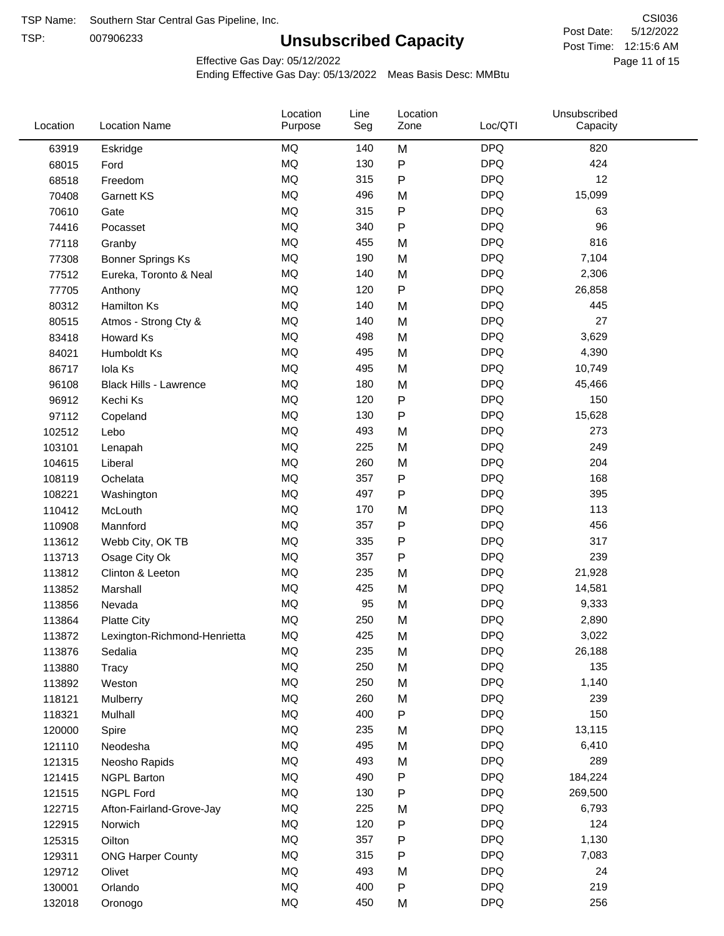TSP:

# **Unsubscribed Capacity**

5/12/2022 Page 11 of 15 Post Time: 12:15:6 AM CSI036 Post Date:

Effective Gas Day: 05/12/2022

| Location | <b>Location Name</b>         | Location<br>Purpose | Line<br>Seg | Location<br>Zone | Loc/QTI    | Unsubscribed<br>Capacity |  |
|----------|------------------------------|---------------------|-------------|------------------|------------|--------------------------|--|
| 63919    | Eskridge                     | <b>MQ</b>           | 140         | M                | <b>DPQ</b> | 820                      |  |
| 68015    | Ford                         | MQ                  | 130         | ${\sf P}$        | <b>DPQ</b> | 424                      |  |
| 68518    | Freedom                      | <b>MQ</b>           | 315         | $\mathsf{P}$     | <b>DPQ</b> | 12                       |  |
| 70408    | <b>Garnett KS</b>            | <b>MQ</b>           | 496         | M                | <b>DPQ</b> | 15,099                   |  |
| 70610    | Gate                         | <b>MQ</b>           | 315         | $\sf P$          | <b>DPQ</b> | 63                       |  |
| 74416    | Pocasset                     | <b>MQ</b>           | 340         | $\mathsf{P}$     | <b>DPQ</b> | 96                       |  |
| 77118    | Granby                       | MQ                  | 455         | M                | <b>DPQ</b> | 816                      |  |
| 77308    | <b>Bonner Springs Ks</b>     | <b>MQ</b>           | 190         | M                | <b>DPQ</b> | 7,104                    |  |
| 77512    | Eureka, Toronto & Neal       | <b>MQ</b>           | 140         | M                | <b>DPQ</b> | 2,306                    |  |
| 77705    | Anthony                      | <b>MQ</b>           | 120         | $\sf P$          | <b>DPQ</b> | 26,858                   |  |
| 80312    | Hamilton Ks                  | <b>MQ</b>           | 140         | M                | <b>DPQ</b> | 445                      |  |
| 80515    | Atmos - Strong Cty &         | MQ                  | 140         | M                | <b>DPQ</b> | 27                       |  |
| 83418    | Howard Ks                    | <b>MQ</b>           | 498         | M                | <b>DPQ</b> | 3,629                    |  |
| 84021    | Humboldt Ks                  | <b>MQ</b>           | 495         | M                | <b>DPQ</b> | 4,390                    |  |
| 86717    | Iola Ks                      | <b>MQ</b>           | 495         | M                | <b>DPQ</b> | 10,749                   |  |
| 96108    | Black Hills - Lawrence       | MQ                  | 180         | M                | <b>DPQ</b> | 45,466                   |  |
| 96912    | Kechi Ks                     | <b>MQ</b>           | 120         | $\mathsf{P}$     | <b>DPQ</b> | 150                      |  |
| 97112    | Copeland                     | <b>MQ</b>           | 130         | $\mathsf{P}$     | <b>DPQ</b> | 15,628                   |  |
| 102512   | Lebo                         | <b>MQ</b>           | 493         | M                | <b>DPQ</b> | 273                      |  |
| 103101   | Lenapah                      | MQ                  | 225         | M                | <b>DPQ</b> | 249                      |  |
| 104615   | Liberal                      | MQ                  | 260         | M                | <b>DPQ</b> | 204                      |  |
| 108119   | Ochelata                     | <b>MQ</b>           | 357         | ${\sf P}$        | <b>DPQ</b> | 168                      |  |
| 108221   | Washington                   | <b>MQ</b>           | 497         | $\mathsf{P}$     | <b>DPQ</b> | 395                      |  |
| 110412   | McLouth                      | <b>MQ</b>           | 170         | M                | <b>DPQ</b> | 113                      |  |
| 110908   | Mannford                     | <b>MQ</b>           | 357         | $\mathsf{P}$     | <b>DPQ</b> | 456                      |  |
| 113612   | Webb City, OK TB             | <b>MQ</b>           | 335         | $\mathsf{P}$     | <b>DPQ</b> | 317                      |  |
| 113713   | Osage City Ok                | <b>MQ</b>           | 357         | $\mathsf{P}$     | <b>DPQ</b> | 239                      |  |
| 113812   | Clinton & Leeton             | <b>MQ</b>           | 235         | M                | <b>DPQ</b> | 21,928                   |  |
| 113852   | Marshall                     | <b>MQ</b>           | 425         | M                | <b>DPQ</b> | 14,581                   |  |
| 113856   | Nevada                       | <b>MQ</b>           | 95          | M                | <b>DPQ</b> | 9,333                    |  |
| 113864   | <b>Platte City</b>           | <b>MQ</b>           | 250         | M                | <b>DPQ</b> | 2,890                    |  |
| 113872   | Lexington-Richmond-Henrietta | MQ                  | 425         | M                | <b>DPQ</b> | 3,022                    |  |
| 113876   | Sedalia                      | MQ                  | 235         | M                | <b>DPQ</b> | 26,188                   |  |
| 113880   | Tracy                        | MQ                  | 250         | M                | <b>DPQ</b> | 135                      |  |
| 113892   | Weston                       | <b>MQ</b>           | 250         | M                | <b>DPQ</b> | 1,140                    |  |
| 118121   | Mulberry                     | MQ                  | 260         | M                | <b>DPQ</b> | 239                      |  |
| 118321   | Mulhall                      | MQ                  | 400         | ${\sf P}$        | <b>DPQ</b> | 150                      |  |
| 120000   | Spire                        | MQ                  | 235         | M                | <b>DPQ</b> | 13,115                   |  |
| 121110   | Neodesha                     | $\sf{MQ}$           | 495         | M                | <b>DPQ</b> | 6,410                    |  |
| 121315   | Neosho Rapids                | MQ                  | 493         | M                | <b>DPQ</b> | 289                      |  |
| 121415   | <b>NGPL Barton</b>           | MQ                  | 490         | Ρ                | <b>DPQ</b> | 184,224                  |  |
| 121515   | <b>NGPL Ford</b>             | MQ                  | 130         | P                | <b>DPQ</b> | 269,500                  |  |
| 122715   | Afton-Fairland-Grove-Jay     | MQ                  | 225         | M                | <b>DPQ</b> | 6,793                    |  |
| 122915   | Norwich                      | MQ                  | 120         | Ρ                | <b>DPQ</b> | 124                      |  |
| 125315   | Oilton                       | MQ                  | 357         | $\mathsf{P}$     | <b>DPQ</b> | 1,130                    |  |
| 129311   | <b>ONG Harper County</b>     | MQ                  | 315         | Ρ                | <b>DPQ</b> | 7,083                    |  |
| 129712   | Olivet                       | MQ                  | 493         | M                | <b>DPQ</b> | 24                       |  |
| 130001   | Orlando                      | $\sf{MQ}$           | 400         | P                | <b>DPQ</b> | 219                      |  |
| 132018   | Oronogo                      | $\sf{MQ}$           | 450         | M                | <b>DPQ</b> | 256                      |  |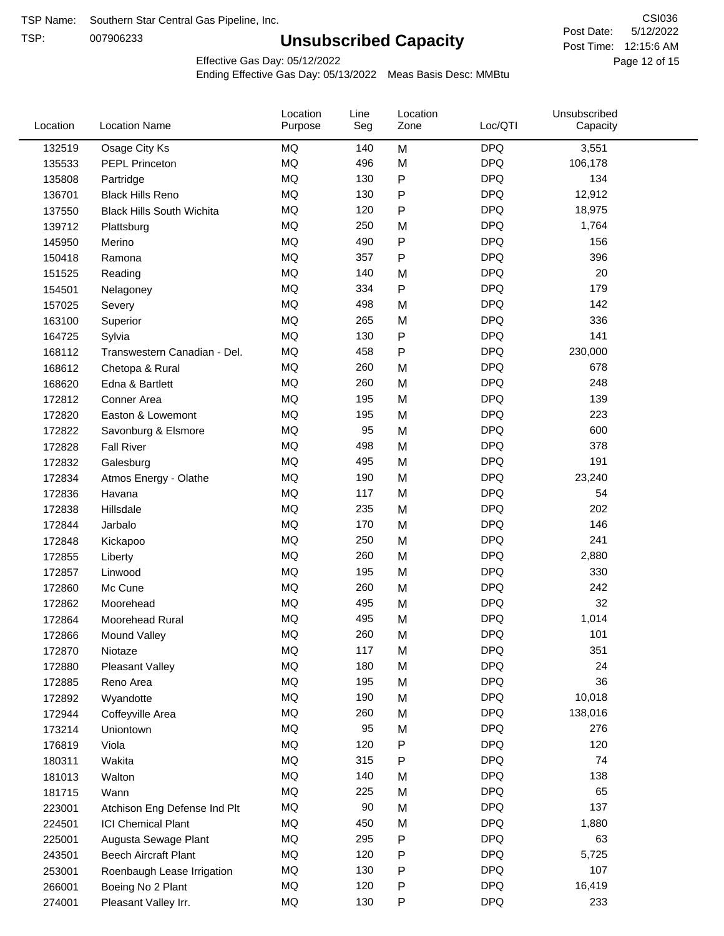TSP:

# **Unsubscribed Capacity**

5/12/2022 Page 12 of 15 Post Time: 12:15:6 AM CSI036 Post Date:

Effective Gas Day: 05/12/2022

| Loc/QTI<br><b>Location Name</b><br>Location<br>Purpose<br>Seg<br>Zone             | Unsubscribed<br>Capacity |
|-----------------------------------------------------------------------------------|--------------------------|
| <b>MQ</b><br><b>DPQ</b><br>132519<br>Osage City Ks<br>M<br>140                    | 3,551                    |
| <b>MQ</b><br><b>DPQ</b><br>496<br>M<br>135533<br><b>PEPL Princeton</b>            | 106,178                  |
| P<br><b>DPQ</b><br>MQ<br>130<br>135808<br>Partridge                               | 134                      |
| <b>MQ</b><br><b>DPQ</b><br>130<br>P<br>136701<br><b>Black Hills Reno</b>          | 12,912                   |
| <b>MQ</b><br>P<br><b>DPQ</b><br>120<br>137550<br><b>Black Hills South Wichita</b> | 18,975                   |
| <b>MQ</b><br><b>DPQ</b><br>250<br>M<br>139712<br>Plattsburg                       | 1,764                    |
| <b>MQ</b><br>P<br><b>DPQ</b><br>490<br>145950<br>Merino                           | 156                      |
| <b>MQ</b><br><b>DPQ</b><br>357<br>$\mathsf{P}$<br>150418<br>Ramona                | 396                      |
| <b>MQ</b><br><b>DPQ</b><br>140<br>M<br>151525<br>Reading                          | 20                       |
| <b>MQ</b><br>$\mathsf{P}$<br><b>DPQ</b><br>334<br>154501<br>Nelagoney             | 179                      |
| <b>MQ</b><br><b>DPQ</b><br>498<br>M<br>157025<br>Severy                           | 142                      |
| <b>MQ</b><br><b>DPQ</b><br>265<br>M<br>163100<br>Superior                         | 336                      |
| <b>MQ</b><br><b>DPQ</b><br>130<br>P<br>164725<br>Sylvia                           | 141                      |
| <b>MQ</b><br>458<br><b>DPQ</b><br>Ρ<br>168112<br>Transwestern Canadian - Del.     | 230,000                  |
| <b>MQ</b><br><b>DPQ</b><br>260<br>M<br>168612<br>Chetopa & Rural                  | 678                      |
| <b>MQ</b><br><b>DPQ</b><br>260<br>M<br>168620<br>Edna & Bartlett                  | 248                      |
| <b>MQ</b><br><b>DPQ</b><br>195<br>172812<br>M<br>Conner Area                      | 139                      |
| <b>DPQ</b><br>MQ<br>195<br>M<br>172820<br>Easton & Lowemont                       | 223                      |
| <b>MQ</b><br><b>DPQ</b><br>95<br>M<br>172822<br>Savonburg & Elsmore               | 600                      |
| <b>MQ</b><br><b>DPQ</b><br>498<br>M<br>172828<br><b>Fall River</b>                | 378                      |
| <b>MQ</b><br><b>DPQ</b><br>495<br>M<br>172832<br>Galesburg                        | 191                      |
| <b>MQ</b><br><b>DPQ</b><br>190<br>M<br>172834<br>Atmos Energy - Olathe            | 23,240                   |
| <b>MQ</b><br><b>DPQ</b><br>117<br>M<br>172836<br>Havana                           | 54                       |
| <b>MQ</b><br><b>DPQ</b><br>235<br>M<br>172838<br>Hillsdale                        | 202                      |
| <b>MQ</b><br><b>DPQ</b><br>170<br>M<br>172844<br>Jarbalo                          | 146                      |
| <b>MQ</b><br><b>DPQ</b><br>250<br>M<br>172848<br>Kickapoo                         | 241                      |
| <b>MQ</b><br><b>DPQ</b><br>260<br>M<br>172855<br>Liberty                          | 2,880                    |
| <b>MQ</b><br><b>DPQ</b><br>195<br>172857<br>Linwood<br>M                          | 330                      |
| <b>MQ</b><br><b>DPQ</b><br>260<br>M<br>172860<br>Mc Cune                          | 242                      |
| <b>MQ</b><br><b>DPQ</b><br>495<br>M<br>172862<br>Moorehead                        | 32                       |
| <b>MQ</b><br>495<br><b>DPQ</b><br>M<br>172864<br>Moorehead Rural                  | 1,014                    |
| MQ<br>260<br><b>DPQ</b><br>172866<br>M<br>Mound Valley                            | 101                      |
| MQ<br>117<br><b>DPQ</b><br>M<br>172870<br>Niotaze                                 | 351                      |
| MQ<br><b>DPQ</b><br>180<br>172880<br>Pleasant Valley<br>M                         | 24                       |
| <b>DPQ</b><br>MQ<br>195<br>M<br>172885<br>Reno Area                               | 36                       |
| <b>MQ</b><br>190<br><b>DPQ</b><br>172892<br>Wyandotte<br>M                        | 10,018                   |
| <b>MQ</b><br><b>DPQ</b><br>260<br>M<br>172944<br>Coffeyville Area                 | 138,016                  |
| <b>MQ</b><br><b>DPQ</b><br>95<br>M<br>173214<br>Uniontown                         | 276                      |
| <b>MQ</b><br>120<br>P<br><b>DPQ</b><br>176819<br>Viola                            | 120                      |
| <b>MQ</b><br><b>DPQ</b><br>315<br>Ρ<br>180311<br>Wakita                           | 74                       |
| <b>DPQ</b><br>MQ<br>140<br>181013<br>Walton<br>M                                  | 138                      |
| <b>MQ</b><br><b>DPQ</b><br>225<br>M<br>181715<br>Wann                             | 65                       |
| $\sf{MQ}$<br><b>DPQ</b><br>90<br>M<br>223001<br>Atchison Eng Defense Ind Plt      | 137                      |
| <b>DPQ</b><br>MQ<br>450<br>M<br>224501<br><b>ICI Chemical Plant</b>               | 1,880                    |
| <b>DPQ</b><br>MQ<br>295<br>Ρ<br>225001<br>Augusta Sewage Plant                    | 63                       |
| <b>DPQ</b><br>MQ<br>120<br>Ρ<br>243501<br><b>Beech Aircraft Plant</b>             | 5,725                    |
| <b>DPQ</b><br>MQ<br>130<br>P<br>253001<br>Roenbaugh Lease Irrigation              | 107                      |
| <b>DPQ</b><br>MQ<br>120<br>P<br>266001<br>Boeing No 2 Plant                       | 16,419                   |
| <b>DPQ</b><br><b>MQ</b><br>130<br>Ρ<br>274001<br>Pleasant Valley Irr.             | 233                      |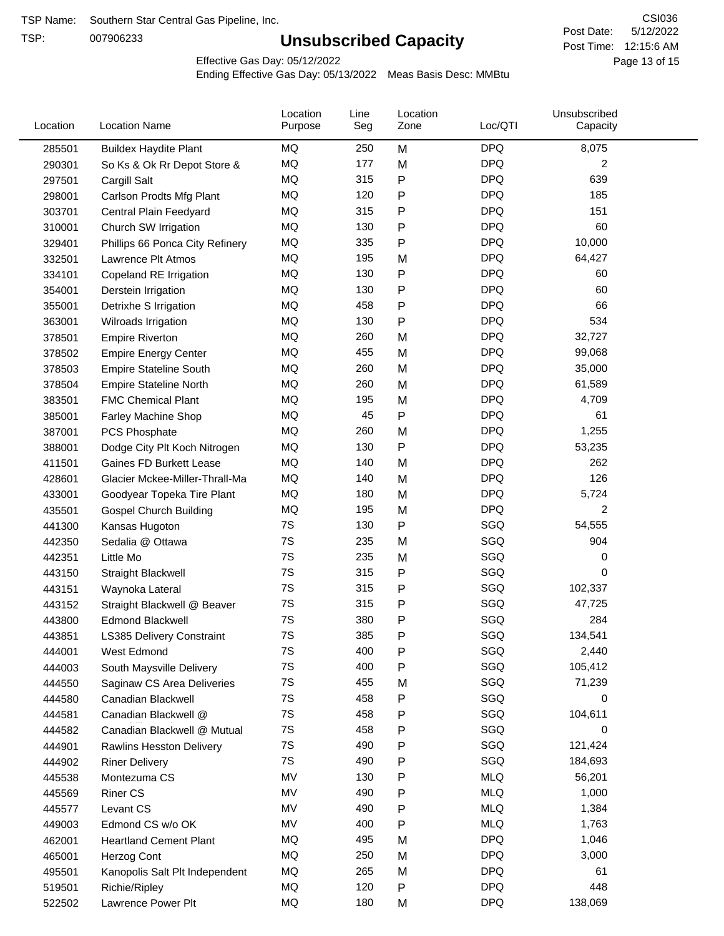TSP:

# **Unsubscribed Capacity**

5/12/2022 Page 13 of 15 Post Time: 12:15:6 AM CSI036 Post Date:

Effective Gas Day: 05/12/2022

| Location | <b>Location Name</b>            | Location<br>Purpose | Line<br>Seg | Location<br>Zone | Loc/QTI    | Unsubscribed<br>Capacity |  |
|----------|---------------------------------|---------------------|-------------|------------------|------------|--------------------------|--|
| 285501   | <b>Buildex Haydite Plant</b>    | MQ                  | 250         | M                | <b>DPQ</b> | 8,075                    |  |
| 290301   | So Ks & Ok Rr Depot Store &     | MQ                  | 177         | M                | <b>DPQ</b> | 2                        |  |
| 297501   | Cargill Salt                    | <b>MQ</b>           | 315         | P                | <b>DPQ</b> | 639                      |  |
| 298001   | Carlson Prodts Mfg Plant        | <b>MQ</b>           | 120         | Ρ                | <b>DPQ</b> | 185                      |  |
| 303701   | Central Plain Feedyard          | MQ                  | 315         | Ρ                | <b>DPQ</b> | 151                      |  |
| 310001   | Church SW Irrigation            | MQ                  | 130         | Ρ                | <b>DPQ</b> | 60                       |  |
| 329401   | Phillips 66 Ponca City Refinery | MQ                  | 335         | Ρ                | <b>DPQ</b> | 10,000                   |  |
| 332501   | Lawrence Plt Atmos              | <b>MQ</b>           | 195         | M                | <b>DPQ</b> | 64,427                   |  |
| 334101   | Copeland RE Irrigation          | MQ                  | 130         | Ρ                | <b>DPQ</b> | 60                       |  |
| 354001   | Derstein Irrigation             | MQ                  | 130         | P                | <b>DPQ</b> | 60                       |  |
| 355001   | Detrixhe S Irrigation           | MQ                  | 458         | Ρ                | <b>DPQ</b> | 66                       |  |
| 363001   | Wilroads Irrigation             | <b>MQ</b>           | 130         | Ρ                | <b>DPQ</b> | 534                      |  |
| 378501   | <b>Empire Riverton</b>          | <b>MQ</b>           | 260         | M                | <b>DPQ</b> | 32,727                   |  |
| 378502   | <b>Empire Energy Center</b>     | MQ                  | 455         | M                | <b>DPQ</b> | 99,068                   |  |
| 378503   | <b>Empire Stateline South</b>   | MQ                  | 260         | M                | <b>DPQ</b> | 35,000                   |  |
| 378504   | <b>Empire Stateline North</b>   | MQ                  | 260         | M                | <b>DPQ</b> | 61,589                   |  |
| 383501   | <b>FMC Chemical Plant</b>       | MQ                  | 195         | M                | <b>DPQ</b> | 4,709                    |  |
| 385001   | Farley Machine Shop             | MQ                  | 45          | P                | <b>DPQ</b> | 61                       |  |
| 387001   | PCS Phosphate                   | MQ                  | 260         | M                | <b>DPQ</b> | 1,255                    |  |
| 388001   | Dodge City Plt Koch Nitrogen    | MQ                  | 130         | Ρ                | <b>DPQ</b> | 53,235                   |  |
| 411501   | Gaines FD Burkett Lease         | <b>MQ</b>           | 140         | M                | <b>DPQ</b> | 262                      |  |
| 428601   | Glacier Mckee-Miller-Thrall-Ma  | <b>MQ</b>           | 140         | M                | <b>DPQ</b> | 126                      |  |
| 433001   | Goodyear Topeka Tire Plant      | MQ                  | 180         | M                | <b>DPQ</b> | 5,724                    |  |
| 435501   | <b>Gospel Church Building</b>   | MQ                  | 195         | M                | <b>DPQ</b> | 2                        |  |
| 441300   | Kansas Hugoton                  | 7S                  | 130         | Ρ                | SGQ        | 54,555                   |  |
| 442350   | Sedalia @ Ottawa                | 7S                  | 235         | M                | SGQ        | 904                      |  |
| 442351   | Little Mo                       | 7S                  | 235         | M                | SGQ        | 0                        |  |
| 443150   | Straight Blackwell              | 7S                  | 315         | Ρ                | SGQ        | 0                        |  |
| 443151   | Waynoka Lateral                 | 7S                  | 315         | Ρ                | SGQ        | 102,337                  |  |
| 443152   | Straight Blackwell @ Beaver     | 7S                  | 315         | P                | SGQ        | 47,725                   |  |
| 443800   | <b>Edmond Blackwell</b>         | 7S                  | 380         | Ρ                | SGQ        | 284                      |  |
| 443851   | LS385 Delivery Constraint       | 7S                  | 385         | P                | SGQ        | 134,541                  |  |
| 444001   | West Edmond                     | 7S                  | 400         | Ρ                | SGQ        | 2,440                    |  |
| 444003   | South Maysville Delivery        | $7\mathrm{S}$       | 400         | P                | SGQ        | 105,412                  |  |
| 444550   | Saginaw CS Area Deliveries      | 7S                  | 455         | M                | SGQ        | 71,239                   |  |
| 444580   | Canadian Blackwell              | 7S                  | 458         | P                | SGQ        | 0                        |  |
| 444581   | Canadian Blackwell @            | 7S                  | 458         | Ρ                | SGQ        | 104,611                  |  |
| 444582   | Canadian Blackwell @ Mutual     | 7S                  | 458         | Ρ                | SGQ        | 0                        |  |
| 444901   | Rawlins Hesston Delivery        | 7S                  | 490         | Ρ                | SGQ        | 121,424                  |  |
| 444902   | <b>Riner Delivery</b>           | 7S                  | 490         | ${\sf P}$        | SGQ        | 184,693                  |  |
| 445538   | Montezuma CS                    | MV                  | 130         | $\mathsf{P}$     | <b>MLQ</b> | 56,201                   |  |
| 445569   | <b>Riner CS</b>                 | MV                  | 490         | Ρ                | <b>MLQ</b> | 1,000                    |  |
| 445577   | Levant CS                       | MV                  | 490         | Ρ                | <b>MLQ</b> | 1,384                    |  |
| 449003   | Edmond CS w/o OK                | MV                  | 400         | Ρ                | <b>MLQ</b> | 1,763                    |  |
| 462001   | <b>Heartland Cement Plant</b>   | MQ                  | 495         | M                | <b>DPQ</b> | 1,046                    |  |
| 465001   | Herzog Cont                     | MQ                  | 250         | M                | <b>DPQ</b> | 3,000                    |  |
| 495501   | Kanopolis Salt Plt Independent  | MQ                  | 265         | M                | <b>DPQ</b> | 61                       |  |
| 519501   | Richie/Ripley                   | MQ                  | 120         | P                | <b>DPQ</b> | 448                      |  |
| 522502   | Lawrence Power Plt              | $\sf{MQ}$           | 180         | M                | <b>DPQ</b> | 138,069                  |  |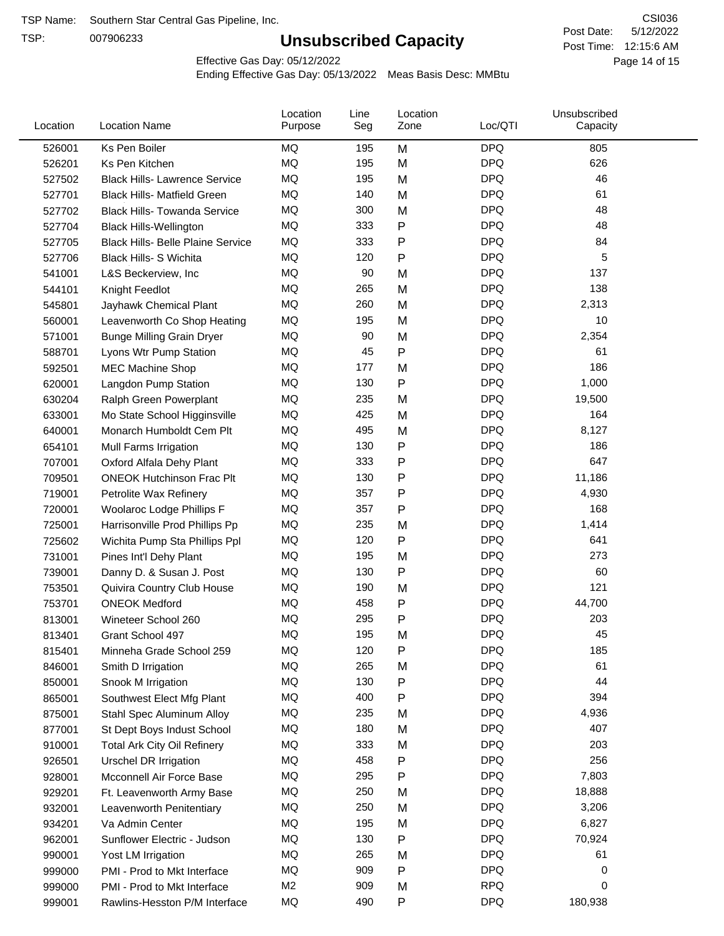TSP:

# **Unsubscribed Capacity**

5/12/2022 Page 14 of 15 Post Time: 12:15:6 AM CSI036 Post Date:

Effective Gas Day: 05/12/2022

| Location | <b>Location Name</b>                     | Location<br>Purpose | Line<br>Seg | Location<br>Zone | Loc/QTI    | Unsubscribed<br>Capacity |  |
|----------|------------------------------------------|---------------------|-------------|------------------|------------|--------------------------|--|
| 526001   | Ks Pen Boiler                            | <b>MQ</b>           | 195         | M                | <b>DPQ</b> | 805                      |  |
| 526201   | Ks Pen Kitchen                           | MQ                  | 195         | M                | <b>DPQ</b> | 626                      |  |
| 527502   | <b>Black Hills- Lawrence Service</b>     | MQ                  | 195         | M                | <b>DPQ</b> | 46                       |  |
| 527701   | <b>Black Hills- Matfield Green</b>       | MQ                  | 140         | M                | <b>DPQ</b> | 61                       |  |
| 527702   | <b>Black Hills- Towanda Service</b>      | MQ                  | 300         | M                | <b>DPQ</b> | 48                       |  |
| 527704   | <b>Black Hills-Wellington</b>            | MQ                  | 333         | ${\sf P}$        | <b>DPQ</b> | 48                       |  |
| 527705   | <b>Black Hills- Belle Plaine Service</b> | MQ                  | 333         | P                | <b>DPQ</b> | 84                       |  |
| 527706   | <b>Black Hills- S Wichita</b>            | MQ                  | 120         | P                | <b>DPQ</b> | 5                        |  |
| 541001   | L&S Beckerview, Inc                      | MQ                  | 90          | M                | <b>DPQ</b> | 137                      |  |
| 544101   | Knight Feedlot                           | MQ                  | 265         | M                | <b>DPQ</b> | 138                      |  |
| 545801   | Jayhawk Chemical Plant                   | MQ                  | 260         | M                | <b>DPQ</b> | 2,313                    |  |
| 560001   | Leavenworth Co Shop Heating              | MQ                  | 195         | M                | <b>DPQ</b> | 10                       |  |
| 571001   | <b>Bunge Milling Grain Dryer</b>         | MQ                  | 90          | M                | <b>DPQ</b> | 2,354                    |  |
| 588701   | Lyons Wtr Pump Station                   | <b>MQ</b>           | 45          | P                | <b>DPQ</b> | 61                       |  |
| 592501   | <b>MEC Machine Shop</b>                  | MQ                  | 177         | M                | <b>DPQ</b> | 186                      |  |
| 620001   | Langdon Pump Station                     | MQ                  | 130         | P                | <b>DPQ</b> | 1,000                    |  |
| 630204   | Ralph Green Powerplant                   | MQ                  | 235         | M                | <b>DPQ</b> | 19,500                   |  |
| 633001   | Mo State School Higginsville             | MQ                  | 425         | M                | <b>DPQ</b> | 164                      |  |
| 640001   | Monarch Humboldt Cem Plt                 | MQ                  | 495         | M                | <b>DPQ</b> | 8,127                    |  |
| 654101   | Mull Farms Irrigation                    | MQ                  | 130         | ${\sf P}$        | <b>DPQ</b> | 186                      |  |
| 707001   | Oxford Alfala Dehy Plant                 | MQ                  | 333         | P                | <b>DPQ</b> | 647                      |  |
| 709501   | <b>ONEOK Hutchinson Frac Plt</b>         | <b>MQ</b>           | 130         | P                | <b>DPQ</b> | 11,186                   |  |
| 719001   | Petrolite Wax Refinery                   | MQ                  | 357         | P                | <b>DPQ</b> | 4,930                    |  |
| 720001   | Woolaroc Lodge Phillips F                | MQ                  | 357         | $\mathsf{P}$     | <b>DPQ</b> | 168                      |  |
| 725001   | Harrisonville Prod Phillips Pp           | MQ                  | 235         | M                | <b>DPQ</b> | 1,414                    |  |
| 725602   | Wichita Pump Sta Phillips Ppl            | MQ                  | 120         | $\mathsf{P}$     | <b>DPQ</b> | 641                      |  |
| 731001   | Pines Int'l Dehy Plant                   | MQ                  | 195         | M                | <b>DPQ</b> | 273                      |  |
| 739001   | Danny D. & Susan J. Post                 | MQ                  | 130         | P                | <b>DPQ</b> | 60                       |  |
| 753501   | Quivira Country Club House               | MQ                  | 190         | M                | <b>DPQ</b> | 121                      |  |
| 753701   | <b>ONEOK Medford</b>                     | MQ                  | 458         | ${\sf P}$        | <b>DPQ</b> | 44,700                   |  |
| 813001   | Wineteer School 260                      | MQ                  | 295         | P                | <b>DPQ</b> | 203                      |  |
| 813401   | Grant School 497                         | MQ                  | 195         | M                | <b>DPQ</b> | 45                       |  |
| 815401   | Minneha Grade School 259                 | ΜQ                  | 120         | P                | <b>DPQ</b> | 185                      |  |
| 846001   | Smith D Irrigation                       | MQ                  | 265         | M                | <b>DPQ</b> | 61                       |  |
| 850001   | Snook M Irrigation                       | MQ                  | 130         | P                | <b>DPQ</b> | 44                       |  |
| 865001   | Southwest Elect Mfg Plant                | MQ                  | 400         | P                | <b>DPQ</b> | 394                      |  |
| 875001   | Stahl Spec Aluminum Alloy                | MQ                  | 235         | M                | <b>DPQ</b> | 4,936                    |  |
| 877001   | St Dept Boys Indust School               | MQ                  | 180         | M                | <b>DPQ</b> | 407                      |  |
| 910001   | <b>Total Ark City Oil Refinery</b>       | MQ                  | 333         | M                | <b>DPQ</b> | 203                      |  |
| 926501   | Urschel DR Irrigation                    | ΜQ                  | 458         | P                | <b>DPQ</b> | 256                      |  |
| 928001   | Mcconnell Air Force Base                 | MQ                  | 295         | P                | <b>DPQ</b> | 7,803                    |  |
| 929201   | Ft. Leavenworth Army Base                | MQ                  | 250         | M                | <b>DPQ</b> | 18,888                   |  |
| 932001   | Leavenworth Penitentiary                 | MQ                  | 250         | M                | <b>DPQ</b> | 3,206                    |  |
| 934201   | Va Admin Center                          | MQ                  | 195         | M                | <b>DPQ</b> | 6,827                    |  |
| 962001   | Sunflower Electric - Judson              | MQ                  | 130         | P                | <b>DPQ</b> | 70,924                   |  |
| 990001   | Yost LM Irrigation                       | MQ                  | 265         | M                | <b>DPQ</b> | 61                       |  |
| 999000   | PMI - Prod to Mkt Interface              | MQ                  | 909         | P                | <b>DPQ</b> | 0                        |  |
| 999000   | PMI - Prod to Mkt Interface              | M <sub>2</sub>      | 909         | M                | <b>RPQ</b> | 0                        |  |
| 999001   | Rawlins-Hesston P/M Interface            | MQ                  | 490         | P                | <b>DPQ</b> | 180,938                  |  |